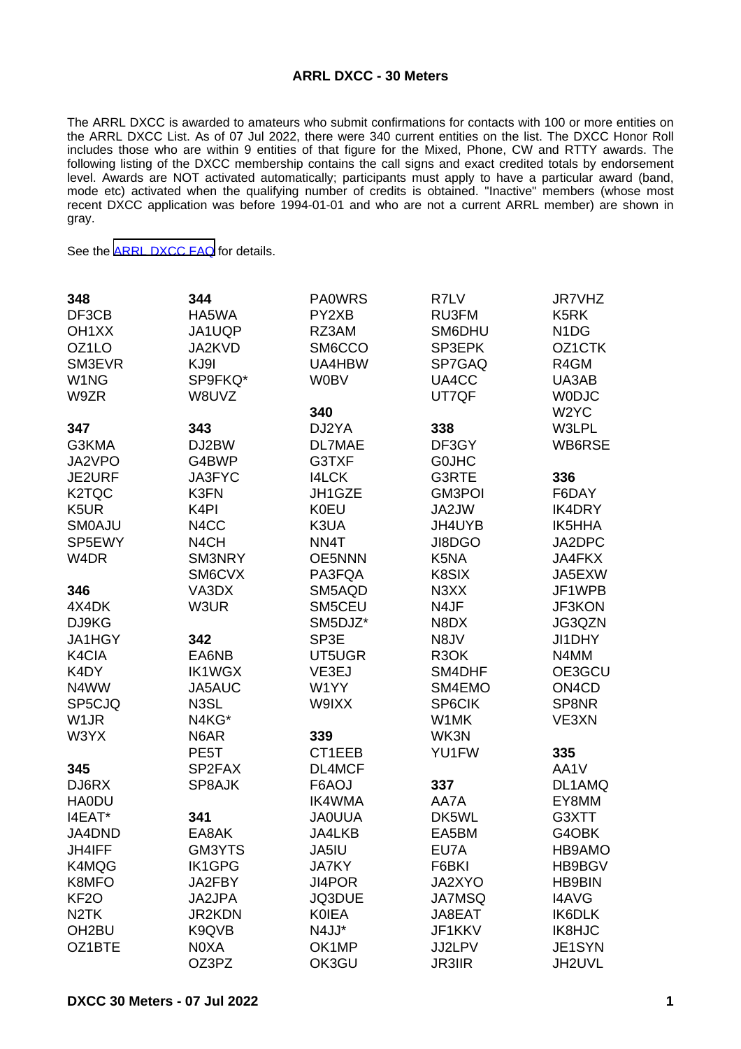## **ARRL DXCC - 30 Meters**

The ARRL DXCC is awarded to amateurs who submit confirmations for contacts with 100 or more entities on the ARRL DXCC List. As of 07 Jul 2022, there were 340 current entities on the list. The DXCC Honor Roll includes those who are within 9 entities of that figure for the Mixed, Phone, CW and RTTY awards. The following listing of the DXCC membership contains the call signs and exact credited totals by endorsement level. Awards are NOT activated automatically; participants must apply to have a particular award (band, mode etc) activated when the qualifying number of credits is obtained. "Inactive" members (whose most recent DXCC application was before 1994-01-01 and who are not a current ARRL member) are shown in gray.

See the [ARRL DXCC FAQ](http://www.arrl.org/dxcc-faq/) for details.

| 348                | 344               | <b>PA0WRS</b> | R7LV                          | JR7VHZ                         |
|--------------------|-------------------|---------------|-------------------------------|--------------------------------|
| DF3CB              | HA5WA             | PY2XB         | RU3FM                         | K <sub>5</sub> RK              |
| OH <sub>1</sub> XX | JA1UQP            | RZ3AM         | SM6DHU                        | N <sub>1</sub> D <sub>G</sub>  |
| OZ1LO              | JA2KVD            | SM6CCO        | SP3EPK                        | OZ1CTK                         |
| SM3EVR             | KJ9I              | UA4HBW        | SP7GAQ                        | R4GM                           |
| W <sub>1</sub> NG  | SP9FKQ*           | <b>W0BV</b>   | UA4CC                         | UA3AB                          |
| W9ZR               | W8UVZ             |               | UT7QF                         | <b>WODJC</b>                   |
|                    |                   | 340           |                               | W <sub>2</sub> YC              |
| 347                | 343               | DJ2YA         | 338                           | W3LPL                          |
| G3KMA              | DJ2BW             | <b>DL7MAE</b> | DF3GY                         | WB6RSE                         |
|                    |                   | G3TXF         | <b>GOJHC</b>                  |                                |
| JA2VPO             | G4BWP             | <b>I4LCK</b>  |                               |                                |
| JE2URF             | JA3FYC            |               | G3RTE                         | 336                            |
| K <sub>2</sub> TQC | K3FN              | JH1GZE        | <b>GM3POI</b>                 | F6DAY                          |
| K <sub>5</sub> UR  | K <sub>4</sub> PI | <b>K0EU</b>   | JA2JW                         | IK4DRY                         |
| <b>SMOAJU</b>      | N4CC              | K3UA          | JH4UYB                        | IK5HHA                         |
| SP5EWY             | N <sub>4</sub> CH | NN4T          | JI8DGO                        | JA2DPC                         |
| W <sub>4</sub> DR  | SM3NRY            | <b>OE5NNN</b> | K5NA                          | JA4FKX                         |
|                    | SM6CVX            | PA3FQA        | K8SIX                         | JA5EXW                         |
| 346                | VA3DX             | SM5AQD        | N <sub>3</sub> X <sub>X</sub> | JF1WPB                         |
| 4X4DK              | W3UR              | SM5CEU        | N4JF                          | JF3KON                         |
| DJ9KG              |                   | SM5DJZ*       | N8DX                          | JG3QZN                         |
| JA1HGY             | 342               | SP3E          | N8JV                          | JI1DHY                         |
| K4CIA              | EA6NB             | UT5UGR        | R <sub>3</sub> OK             | N4MM                           |
| K4DY               | <b>IK1WGX</b>     | VE3EJ         | SM4DHF                        | OE3GCU                         |
| N4WW               | JA5AUC            | W1YY          | SM4EMO                        | ON <sub>4</sub> C <sub>D</sub> |
| SP5CJQ             | N3SL              | W9IXX         | SP6CIK                        | SP8NR                          |
| W <sub>1</sub> JR  | N4KG*             |               | W1MK                          | VE3XN                          |
| W3YX               | N6AR              | 339           | WK3N                          |                                |
|                    | PE <sub>5</sub> T | CT1EEB        | YU1FW                         | 335                            |
| 345                | SP2FAX            | DL4MCF        |                               | AA1V                           |
| DJ6RX              | SP8AJK            | F6AOJ         | 337                           | DL1AMQ                         |
| <b>HA0DU</b>       |                   | <b>IK4WMA</b> | AA7A                          | EY8MM                          |
| I4EAT*             | 341               | <b>JAOUUA</b> | DK5WL                         | G3XTT                          |
| JA4DND             | EA8AK             | JA4LKB        | EA5BM                         | G4OBK                          |
| JH4IFF             | GM3YTS            | JA5IU         | EU7A                          | HB9AMO                         |
| K4MQG              | <b>IK1GPG</b>     | <b>JA7KY</b>  | F6BKI                         | HB9BGV                         |
| K8MFO              | JA2FBY            | JI4POR        | JA2XYO                        | <b>HB9BIN</b>                  |
| KF <sub>2</sub> O  | JA2JPA            | JQ3DUE        | <b>JA7MSQ</b>                 | <b>I4AVG</b>                   |
| N <sub>2</sub> TK  | <b>JR2KDN</b>     | <b>KOIEA</b>  | JA8EAT                        | IK6DLK                         |
| OH <sub>2</sub> BU | K9QVB             | N4JJ*         | JF1KKV                        | IK8HJC                         |
| OZ1BTE             | N0XA              | OK1MP         | JJ2LPV                        | JE1SYN                         |
|                    | OZ3PZ             | OK3GU         | <b>JR3IIR</b>                 | JH2UVL                         |
|                    |                   |               |                               |                                |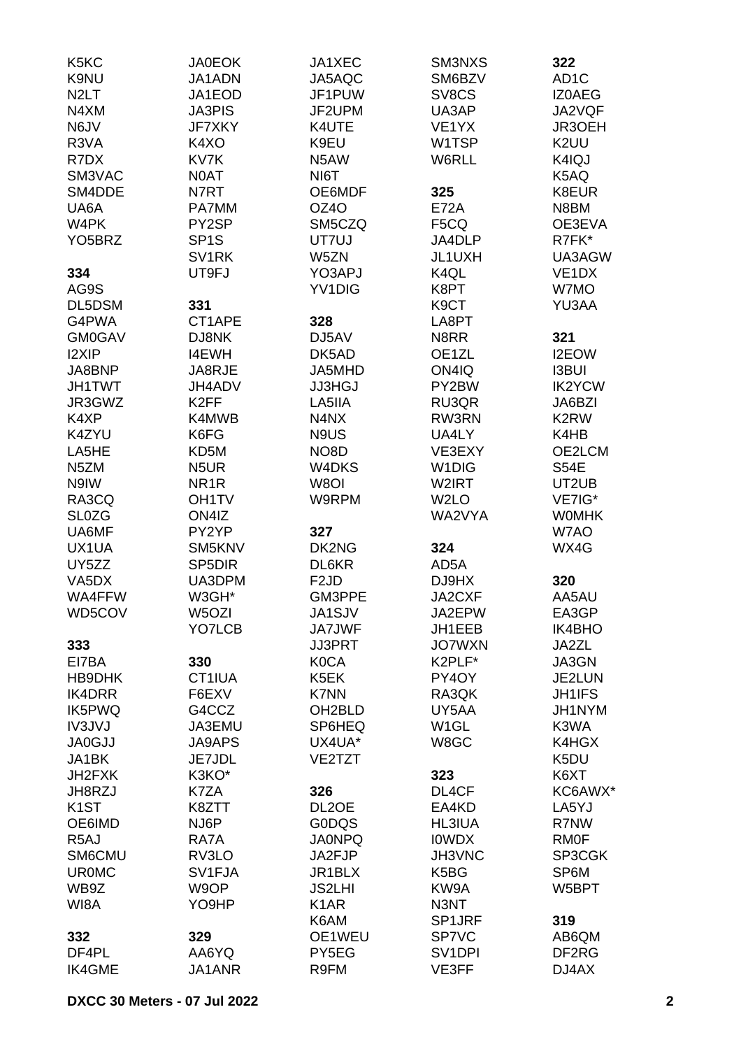| K <sub>5</sub> K <sub>C</sub><br>K9NU<br>N <sub>2</sub> LT | <b>JA0EOK</b><br>JA1ADN<br>JA1EOD       | JA1XEC<br>JA5AQC<br>JF1PUW | SM3NXS<br>SM6BZV<br>SV8CS  | 322<br>AD <sub>1</sub> C<br><b>IZOAEG</b> |
|------------------------------------------------------------|-----------------------------------------|----------------------------|----------------------------|-------------------------------------------|
| N4XM                                                       | <b>JA3PIS</b>                           | JF2UPM                     | UA3AP                      | JA2VQF                                    |
| N6JV                                                       | <b>JF7XKY</b>                           | K4UTE                      | VE <sub>1</sub> YX         | JR3OEH                                    |
| R3VA                                                       | K4XO                                    | K9EU                       | W1TSP                      | K2UU                                      |
| R7DX                                                       | KV7K                                    | N5AW                       | W6RLL                      | K4IQJ                                     |
| SM3VAC                                                     | N0AT                                    | NI6T                       |                            | K5AQ                                      |
| SM4DDE                                                     | N7RT                                    | OE6MDF                     | 325                        | K8EUR                                     |
| UA6A                                                       | PA7MM                                   | OZ4O                       | <b>E72A</b>                | N8BM                                      |
| W <sub>4</sub> PK                                          | PY2SP                                   | SM5CZQ                     | F <sub>5</sub> CQ          | OE3EVA                                    |
| YO <sub>5</sub> BRZ                                        | SP <sub>1</sub> S                       | UT7UJ                      | JA4DLP                     | R7FK*                                     |
|                                                            | SV <sub>1</sub> RK                      | W5ZN                       | JL1UXH                     | UA3AGW                                    |
| 334                                                        | UT9FJ                                   | YO3APJ                     | K4QL                       | VE <sub>1</sub> DX                        |
| AG9S                                                       |                                         | YV1DIG                     | K8PT                       | W7MO                                      |
| DL5DSM                                                     | 331                                     |                            | K <sub>9</sub> CT          | YU3AA                                     |
| G4PWA                                                      | CT1APE                                  | 328                        | LA8PT                      |                                           |
| <b>GM0GAV</b>                                              | DJ8NK                                   | DJ5AV                      | N8RR                       | 321                                       |
| <b>I2XIP</b>                                               | <b>I4EWH</b>                            | DK5AD                      | OE1ZL                      | <b>I2EOW</b>                              |
| JA8BNP                                                     | JA8RJE                                  | JA5MHD                     | ON4IQ                      | <b>I3BUI</b>                              |
| <b>JH1TWT</b>                                              | JH4ADV                                  | <b>JJ3HGJ</b>              | PY2BW                      | <b>IK2YCW</b>                             |
| JR3GWZ                                                     | K <sub>2</sub> FF                       | LA5IIA                     | RU3QR                      | JA6BZI                                    |
| K4XP                                                       | K4MWB                                   | N4NX                       | RW3RN                      | K2RW                                      |
| K4ZYU                                                      | K6FG                                    | N9US                       | UA4LY                      | K4HB                                      |
| LA5HE<br>N <sub>5</sub> ZM                                 | KD5M<br>N <sub>5</sub> UR               | NO8D                       | VE3EXY                     | OE2LCM                                    |
|                                                            |                                         | W4DKS<br>W8OI              | W <sub>1</sub> DIG         | <b>S54E</b>                               |
| N9IW<br>RA3CQ                                              | NR <sub>1</sub> R<br>OH <sub>1</sub> TV | W9RPM                      | W2IRT<br>W <sub>2</sub> LO | UT2UB<br>VE7IG*                           |
| <b>SL0ZG</b>                                               | ON4IZ                                   |                            | WA2VYA                     | <b>WOMHK</b>                              |
| UA6MF                                                      | PY2YP                                   | 327                        |                            | W7AO                                      |
| UX1UA                                                      | SM5KNV                                  | DK2NG                      | 324                        | WX4G                                      |
| UY5ZZ                                                      | SP <sub>5</sub> DIR                     | DL6KR                      | AD5A                       |                                           |
| VA <sub>5</sub> D <sub>X</sub>                             | UA3DPM                                  | F <sub>2</sub> JD          | DJ9HX                      | 320                                       |
| WA4FFW                                                     | W3GH*                                   | GM3PPE                     | JA2CXF                     | AA5AU                                     |
| WD5COV                                                     | W5OZI                                   | JA1SJV                     | JA2EPW                     | EA3GP                                     |
|                                                            | YO7LCB                                  | <b>JA7JWF</b>              | JH1EEB                     | IK4BHO                                    |
| 333                                                        |                                         | <b>JJ3PRT</b>              | <b>JO7WXN</b>              | JA2ZL                                     |
| EI7BA                                                      | 330                                     | <b>K0CA</b>                | K2PLF*                     | JA3GN                                     |
| HB9DHK                                                     | CT1IUA                                  | K5EK                       | PY4OY                      | JE2LUN                                    |
| <b>IK4DRR</b>                                              | F6EXV                                   | <b>K7NN</b>                | RA3QK                      | <b>JH1IFS</b>                             |
| IK5PWQ                                                     | G4CCZ                                   | OH <sub>2</sub> BLD        | UY5AA                      | JH1NYM                                    |
| <b>IV3JVJ</b>                                              | <b>JA3EMU</b>                           | SP6HEQ                     | W <sub>1</sub> GL          | K3WA                                      |
| <b>JA0GJJ</b>                                              | <b>JA9APS</b>                           | UX4UA*                     | W8GC                       | K4HGX                                     |
| JA1BK                                                      | JE7JDL                                  | VE2TZT                     |                            | K5DU                                      |
| JH2FXK                                                     | K3KO*                                   |                            | 323                        | K6XT                                      |
| JH8RZJ                                                     | K7ZA                                    | 326                        | DL4CF                      | KC6AWX*                                   |
| K <sub>1</sub> ST                                          | K8ZTT                                   | DL <sub>2</sub> OE         | EA4KD                      | LA5YJ                                     |
| OE6IMD                                                     | NJ6P                                    | <b>GODQS</b>               | <b>HL3IUA</b>              | R7NW                                      |
| R <sub>5</sub> AJ                                          | RA7A                                    | <b>JA0NPQ</b>              | <b>IOWDX</b>               | <b>RM0F</b>                               |
| SM6CMU                                                     | RV3LO                                   | JA2FJP                     | JH3VNC                     | SP3CGK                                    |
| <b>UR0MC</b>                                               | SV1FJA                                  | JR1BLX                     | K5BG                       | SP6M                                      |
| WB9Z                                                       | W9OP                                    | <b>JS2LHI</b>              | KW9A                       | W5BPT                                     |
| WI8A                                                       | YO9HP                                   | K <sub>1</sub> AR          | N3NT                       |                                           |
|                                                            |                                         | K6AM                       | SP1JRF                     | 319                                       |
| 332                                                        | 329                                     | OE1WEU                     | SP7VC                      | AB6QM                                     |
| DF4PL                                                      | AA6YQ                                   | PY5EG                      | SV <sub>1</sub> DPI        | DF2RG                                     |
| <b>IK4GME</b>                                              | JA1ANR                                  | R9FM                       | VE3FF                      | DJ4AX                                     |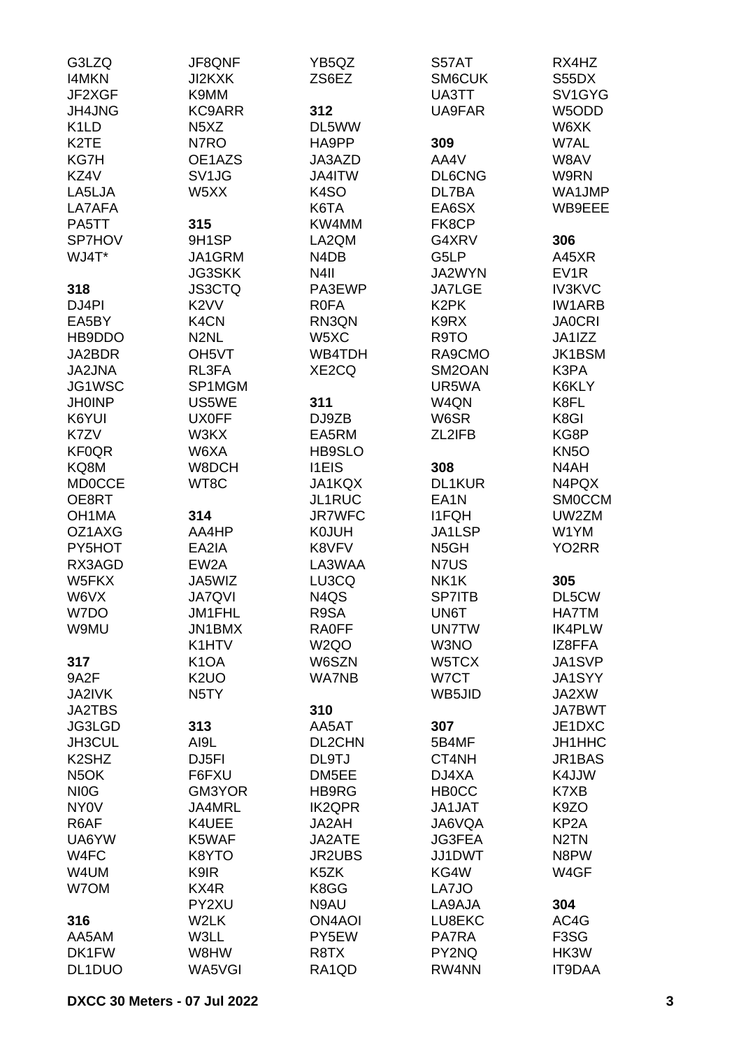| G3LZQ                          | JF8QNF                        | YB5QZ             | S57AT             | RX4HZ             |
|--------------------------------|-------------------------------|-------------------|-------------------|-------------------|
| <b>I4MKN</b>                   | JI2KXK                        | ZS6EZ             | SM6CUK            | S55DX             |
| JF2XGF                         | K9MM                          |                   | UA3TT             | SV1GYG            |
| JH4JNG                         | <b>KC9ARR</b>                 | 312               | UA9FAR            | W5ODD             |
| K <sub>1</sub> LD              | N <sub>5</sub> X <sub>Z</sub> | DL5WW             |                   | W6XK              |
| K <sub>2</sub> TE              | N7RO                          | HA9PP             | 309               | W7AL              |
| KG7H                           | OE1AZS                        | JA3AZD            | AA4V              | W8AV              |
| KZ4V                           | SV <sub>1JG</sub>             | JA4ITW            | <b>DL6CNG</b>     | W9RN              |
| LA5LJA                         | W5XX                          | K <sub>4</sub> SO | DL7BA             | WA1JMP            |
| LA7AFA                         |                               | K6TA              | EA6SX             | WB9EEE            |
| PA5TT                          | 315                           | KW4MM             | FK8CP             |                   |
| SP7HOV                         | 9H1SP                         | LA2QM             | G4XRV             | 306               |
| WJ4T*                          | JA1GRM                        | N4DB              | G5LP              | A45XR             |
|                                | <b>JG3SKK</b>                 | N <sub>4</sub> II | JA2WYN            | EV <sub>1</sub> R |
|                                |                               |                   |                   |                   |
| 318                            | <b>JS3CTQ</b>                 | PA3EWP            | <b>JA7LGE</b>     | <b>IV3KVC</b>     |
| DJ4PI                          | K <sub>2</sub> VV             | <b>ROFA</b>       | K <sub>2</sub> PK | <b>IW1ARB</b>     |
| EA5BY                          | K4CN                          | RN3QN             | K9RX              | <b>JA0CRI</b>     |
| HB9DDO                         | N <sub>2NL</sub>              | W5XC              | R9TO              | JA1IZZ            |
| JA2BDR                         | OH <sub>5</sub> VT            | WB4TDH            | RA9CMO            | <b>JK1BSM</b>     |
| <b>JA2JNA</b>                  | RL3FA                         | XE2CQ             | SM2OAN            | K3PA              |
| JG1WSC                         | SP1MGM                        |                   | UR5WA             | K6KLY             |
| <b>JH0INP</b>                  | US5WE                         | 311               | W4QN              | K8FL              |
| K6YUI                          | <b>UX0FF</b>                  | DJ9ZB             | W6SR              | K8GI              |
| K7ZV                           | W3KX                          | EA5RM             | ZL2IFB            | KG8P              |
| <b>KF0QR</b>                   | W6XA                          | <b>HB9SLO</b>     |                   | KN <sub>50</sub>  |
| KQ8M                           | W8DCH                         | <b>I1EIS</b>      | 308               | N4AH              |
| <b>MD0CCE</b>                  | WT8C                          | JA1KQX            | DL1KUR            | N4PQX             |
| OE8RT                          |                               | JL1RUC            | EA <sub>1</sub> N | <b>SMOCCM</b>     |
| OH <sub>1</sub> MA             | 314                           | <b>JR7WFC</b>     | <b>I1FQH</b>      | UW2ZM             |
| OZ1AXG                         | AA4HP                         | <b>K0JUH</b>      | JA1LSP            | W1YM              |
| PY5HOT                         | EA2IA                         | K8VFV             | N <sub>5</sub> GH | YO2RR             |
| RX3AGD                         | EW <sub>2</sub> A             | LA3WAA            | N7US              |                   |
| W5FKX                          | JA5WIZ                        | LU3CQ             | NK1K              | 305               |
| W6VX                           | <b>JA7QVI</b>                 | N4QS              | <b>SP7ITB</b>     | DL5CW             |
|                                |                               |                   |                   |                   |
| W7DO                           | JM1FHL                        | R9SA              | UN6T              | HA7TM             |
| W9MU                           | JN1BMX                        | <b>RA0FF</b>      | <b>UN7TW</b>      | <b>IK4PLW</b>     |
|                                | K1HTV                         | W <sub>2</sub> QO | W3NO              | IZ8FFA            |
| 317                            | K <sub>1</sub> OA             | W6SZN             | W5TCX             | JA1SVP            |
| 9A2F                           | K <sub>2</sub> UO             | <b>WA7NB</b>      | W7CT              | JA1SYY            |
| JA2IVK                         | N <sub>5</sub> TY             |                   | WB5JID            | JA2XW             |
| <b>JA2TBS</b>                  |                               | 310               |                   | <b>JA7BWT</b>     |
| JG3LGD                         | 313                           | AA5AT             | 307               | JE1DXC            |
| JH3CUL                         | AI9L                          | DL2CHN            | 5B4MF             | JH1HHC            |
| K <sub>2</sub> SH <sub>Z</sub> | DJ5FI                         | DL9TJ             | CT4NH             | JR1BAS            |
| N <sub>5</sub> OK              | F6FXU                         | DM5EE             | DJ4XA             | K4JJW             |
| NI <sub>0</sub> G              | GM3YOR                        | HB9RG             | <b>HB0CC</b>      | K7XB              |
| NY <sub>0</sub> V              | JA4MRL                        | <b>IK2QPR</b>     | <b>JA1JAT</b>     | K9ZO              |
| R6AF                           | K4UEE                         | JA2AH             | JA6VQA            | KP <sub>2</sub> A |
| UA6YW                          | K5WAF                         | JA2ATE            | <b>JG3FEA</b>     | N <sub>2</sub> TN |
| W4FC                           | K8YTO                         | <b>JR2UBS</b>     | JJ1DWT            | N8PW              |
| W4UM                           | K9IR                          | K5ZK              | KG4W              | W4GF              |
| W7OM                           | KX4R                          | K8GG              | LA7JO             |                   |
|                                | PY2XU                         | N9AU              | LA9AJA            | 304               |
|                                |                               |                   |                   |                   |
| 316                            | W2LK                          | <b>ON4AOI</b>     | LU8EKC            | AC4G              |
| AA5AM                          | W3LL                          | PY5EW             | PA7RA             | F <sub>3</sub> SG |
| DK1FW                          | W8HW                          | R8TX              | PY2NQ             | HK3W              |
| DL1DUO                         | WA5VGI                        | RA1QD             | RW4NN             | IT9DAA            |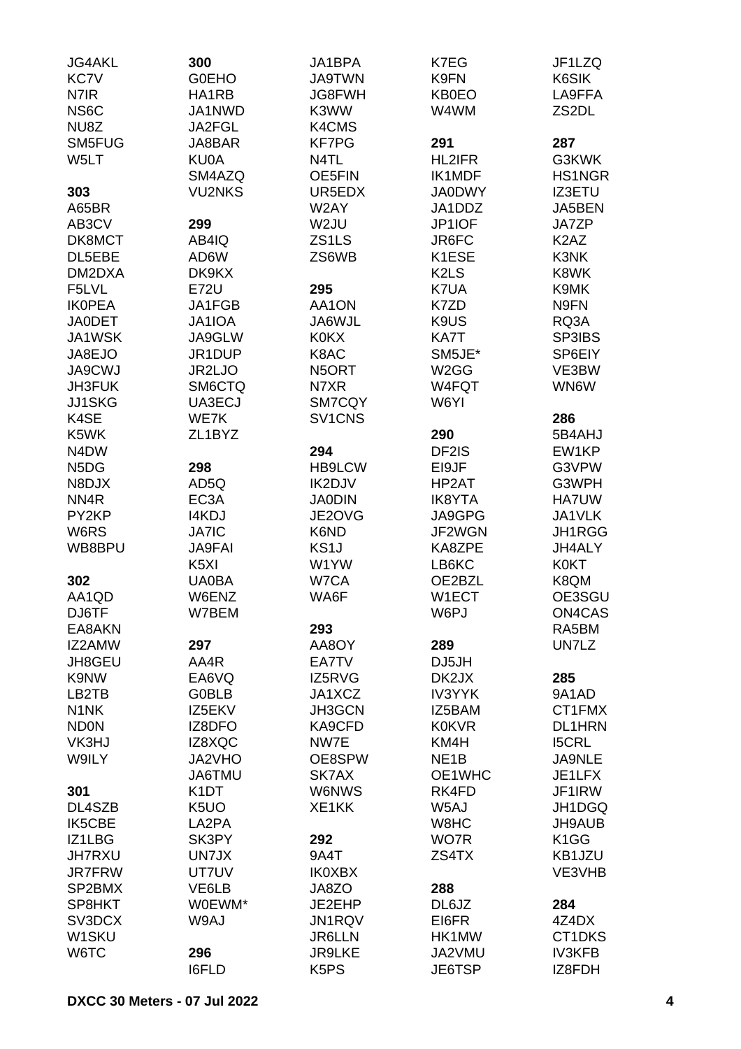| <b>JG4AKL</b>                 | 300               | JA1BPA                        | K7EG                          | JF1LZQ                        |
|-------------------------------|-------------------|-------------------------------|-------------------------------|-------------------------------|
| <b>KC7V</b>                   | <b>G0EHO</b>      | <b>JA9TWN</b>                 | K9FN                          | K6SIK                         |
| N7IR                          | HA1RB             | <b>JG8FWH</b>                 | <b>KB0EO</b>                  | LA9FFA                        |
| NS <sub>6</sub> C             | JA1NWD            | K3WW                          | W4WM                          | ZS2DL                         |
| NU8Z                          | JA2FGL            | K4CMS                         |                               |                               |
| SM5FUG                        | JA8BAR            | <b>KF7PG</b>                  | 291                           | 287                           |
| W5LT                          | KU0A              | N4TL                          | <b>HL2IFR</b>                 | G3KWK                         |
|                               | SM4AZQ            | OE5FIN                        | <b>IK1MDF</b>                 | HS1NGR                        |
| 303                           | <b>VU2NKS</b>     | UR5EDX                        | <b>JA0DWY</b>                 | <b>IZ3ETU</b>                 |
| A65BR                         |                   | W2AY                          | JA1DDZ                        | JA5BEN                        |
| AB3CV                         | 299               | W2JU                          | JP1IOF                        | JA7ZP                         |
| DK8MCT                        | AB4IQ             | ZS <sub>1</sub> LS            | JR6FC                         | K <sub>2</sub> A <sub>Z</sub> |
| DL5EBE                        | AD6W              | ZS6WB                         | K1ESE                         | K3NK                          |
| DM2DXA                        | DK9KX             |                               | K <sub>2</sub> L <sub>S</sub> | K8WK                          |
| F5LVL                         | <b>E72U</b>       | 295                           | K7UA                          | K9MK                          |
| <b>IKOPEA</b>                 | JA1FGB            | AA1ON                         | K7ZD                          | N9FN                          |
| <b>JA0DET</b>                 | JA1IOA            | JA6WJL                        | K9US                          | RQ3A                          |
| JA1WSK                        | JA9GLW            | <b>K0KX</b>                   | KA7T                          | SP3IBS                        |
| JA8EJO                        | JR1DUP            | K8AC                          | SM5JE*                        | SP6EIY                        |
| <b>JA9CWJ</b>                 | JR2LJO            | N5ORT                         | W <sub>2</sub> GG             | VE3BW                         |
| JH3FUK                        | <b>SM6CTQ</b>     | N7XR                          | W4FQT                         | WN6W                          |
|                               |                   | SM7CQY                        | W6YI                          |                               |
| JJ1SKG                        | UA3ECJ            |                               |                               |                               |
| K4SE                          | WE7K              | SV1CNS                        |                               | 286                           |
| K5WK                          | ZL1BYZ            |                               | 290                           | 5B4AHJ                        |
| N <sub>4</sub> D <sub>W</sub> |                   | 294                           | DF2IS                         | EW1KP                         |
| N <sub>5</sub> D <sub>G</sub> | 298               | <b>HB9LCW</b>                 | EI9JF                         | G3VPW                         |
| N8DJX                         | AD5Q              | IK2DJV                        | HP2AT                         | G3WPH                         |
| NN <sub>4</sub> R             | EC <sub>3</sub> A | <b>JA0DIN</b>                 | <b>IK8YTA</b>                 | HA7UW                         |
| PY2KP                         | <b>I4KDJ</b>      | JE2OVG                        | JA9GPG                        | JA1VLK                        |
| W6RS                          | <b>JA7IC</b>      | K6ND                          | <b>JF2WGN</b>                 | JH1RGG                        |
| WB8BPU                        | <b>JA9FAI</b>     | KS <sub>1</sub> J             | KA8ZPE                        | JH4ALY                        |
|                               | K <sub>5</sub> XI | W1YW                          | LB6KC                         | <b>K0KT</b>                   |
| 302                           | <b>UA0BA</b>      | W7CA                          | OE2BZL                        | K8QM                          |
| AA1QD                         | W6ENZ             | WA6F                          | W1ECT                         | OE3SGU                        |
| DJ6TF                         | W7BEM             |                               | W6PJ                          | ON4CAS                        |
| EA8AKN                        |                   | 293                           |                               | RA5BM                         |
| IZ2AMW                        | 297               | AA8OY                         | 289                           | UN7LZ                         |
| JH8GEU                        | AA4R              | EA7TV                         | DJ5JH                         |                               |
| K9NW                          | EA6VQ             | IZ5RVG                        | DK2JX                         | 285                           |
| LB2TB                         | <b>G0BLB</b>      | JA1XCZ                        | <b>IV3YYK</b>                 | 9A1AD                         |
| N <sub>1</sub> N <sub>K</sub> | IZ5EKV            | JH3GCN                        | IZ5BAM                        | CT1FMX                        |
| <b>ND0N</b>                   | IZ8DFO            | KA9CFD                        | <b>K0KVR</b>                  | <b>DL1HRN</b>                 |
| VK3HJ                         | IZ8XQC            | NW7E                          | KM4H                          | <b>I5CRL</b>                  |
| W9ILY                         | JA2VHO            | OE8SPW                        | NE <sub>1</sub> B             | <b>JA9NLE</b>                 |
|                               | JA6TMU            | SK7AX                         | OE1WHC                        | JE1LFX                        |
| 301                           | K <sub>1</sub> DT | <b>W6NWS</b>                  | RK4FD                         | JF1IRW                        |
| DL4SZB                        | K <sub>5</sub> UO | XE1KK                         | W5AJ                          | JH1DGQ                        |
| IK5CBE                        | LA2PA             |                               | W8HC                          | <b>JH9AUB</b>                 |
| IZ1LBG                        | SK3PY             | 292                           | WO7R                          | K <sub>1</sub> GG             |
| <b>JH7RXU</b>                 | UN7JX             | 9A4T                          | ZS4TX                         | KB1JZU                        |
| <b>JR7FRW</b>                 | UT7UV             | <b>IK0XBX</b>                 |                               | VE3VHB                        |
| SP2BMX                        | VE6LB             | JA8ZO                         | 288                           |                               |
| SP8HKT                        | W0EWM*            | JE2EHP                        | DL6JZ                         | 284                           |
| SV3DCX                        | W9AJ              | JN1RQV                        | EI6FR                         | 4Z4DX                         |
| W <sub>1</sub> SKU            |                   | <b>JR6LLN</b>                 | HK1MW                         | CT1DKS                        |
| W6TC                          | 296               | <b>JR9LKE</b>                 | JA2VMU                        | <b>IV3KFB</b>                 |
|                               | <b>I6FLD</b>      | K <sub>5</sub> P <sub>S</sub> | JE6TSP                        | IZ8FDH                        |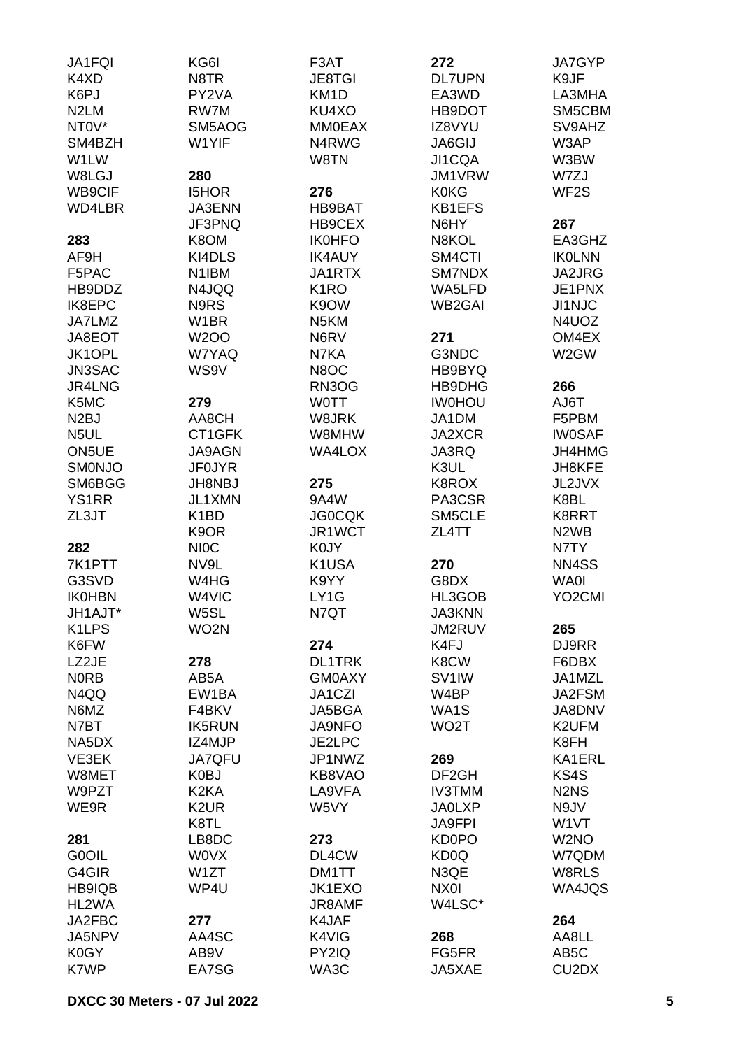| JA1FQI             | KG6I               | F3AT              | 272                | JA7GYP                         |
|--------------------|--------------------|-------------------|--------------------|--------------------------------|
| K4XD               | N8TR               | <b>JE8TGI</b>     | <b>DL7UPN</b>      | K9JF                           |
| K6PJ               | PY2VA              | KM <sub>1</sub> D | EA3WD              | LA3MHA                         |
| N <sub>2</sub> LM  | RW7M               | KU4XO             | HB9DOT             | SM5CBM                         |
| NTOV*              | SM5AOG             | <b>MM0EAX</b>     | IZ8VYU             | SV9AHZ                         |
| SM4BZH             | W1YIF              | N4RWG             | JA6GIJ             | W3AP                           |
| W1LW               |                    | W8TN              | <b>JI1CQA</b>      | W3BW                           |
| W8LGJ              | 280                |                   | JM1VRW             | W7ZJ                           |
| WB9CIF             | <b>I5HOR</b>       | 276               | <b>K0KG</b>        | WF <sub>2</sub> S              |
| WD4LBR             | JA3ENN             | HB9BAT            | <b>KB1EFS</b>      |                                |
|                    | JF3PNQ             | HB9CEX            | N6HY               | 267                            |
|                    | K8OM               | <b>IK0HFO</b>     | N8KOL              | EA3GHZ                         |
| 283                | KI4DLS             |                   |                    |                                |
| AF9H               |                    | <b>IK4AUY</b>     | SM4CTI             | <b>IKOLNN</b>                  |
| F5PAC              | N <sub>1</sub> IBM | JA1RTX            | SM7NDX             | JA2JRG                         |
| HB9DDZ             | N4JQQ              | K <sub>1</sub> RO | WA5LFD             | JE1PNX                         |
| IK8EPC             | N9RS               | K9OW              | <b>WB2GAI</b>      | <b>JI1NJC</b>                  |
| JA7LMZ             | W <sub>1</sub> BR  | N <sub>5</sub> KM |                    | N4UOZ                          |
| JA8EOT             | <b>W2OO</b>        | N6RV              | 271                | OM4EX                          |
| JK1OPL             | W7YAQ              | N7KA              | G3NDC              | W2GW                           |
| JN3SAC             | WS9V               | N8OC              | HB9BYQ             |                                |
| JR4LNG             |                    | RN3OG             | HB9DHG             | 266                            |
| K5MC               | 279                | <b>WOTT</b>       | <b>IWOHOU</b>      | T <sub>a</sub> UA              |
| N <sub>2</sub> BJ  | AA8CH              | W8JRK             | JA1DM              | F5PBM                          |
| N <sub>5</sub> UL  | CT1GFK             | W8MHW             | JA2XCR             | <b>IW0SAF</b>                  |
| ON5UE              | <b>JA9AGN</b>      | <b>WA4LOX</b>     | JA3RQ              | JH4HMG                         |
| <b>SMONJO</b>      | <b>JF0JYR</b>      |                   | K3UL               | JH8KFE                         |
| SM6BGG             | <b>JH8NBJ</b>      | 275               | K8ROX              | JL2JVX                         |
| <b>YS1RR</b>       | JL1XMN             | 9A4W              | PA3CSR             | K8BL                           |
| ZL3JT              | K <sub>1</sub> BD  | <b>JG0CQK</b>     | SM5CLE             | K8RRT                          |
|                    | K <sub>9</sub> OR  | JR1WCT            | ZL4TT              | N <sub>2</sub> W <sub>B</sub>  |
| 282                | <b>NIOC</b>        | K0JY              |                    | N7TY                           |
| 7K1PTT             | NV9L               | K1USA             | 270                | NN4SS                          |
| G3SVD              | W4HG               | K9YY              | G8DX               | <b>WA0I</b>                    |
| <b>IK0HBN</b>      | W4VIC              | LY1G              | HL3GOB             | YO <sub>2</sub> CMI            |
| JH1AJT*            | W5SL               | N7QT              | <b>JA3KNN</b>      |                                |
| K <sub>1</sub> LPS | WO <sub>2</sub> N  |                   | JM2RUV             | 265                            |
| K6FW               |                    | 274               | K4FJ               | DJ9RR                          |
| LZ2JE              | 278                | <b>DL1TRK</b>     | K8CW               | F6DBX                          |
| <b>NORB</b>        | AB5A               | <b>GM0AXY</b>     | SV <sub>1</sub> IW | JA1MZL                         |
| N4QQ               | EW1BA              | JA1CZI            | W4BP               | JA2FSM                         |
|                    |                    |                   |                    |                                |
| N6MZ               | F4BKV              | JA5BGA            | WA1S               | JA8DNV                         |
| N7BT               | <b>IK5RUN</b>      | <b>JA9NFO</b>     | WO <sub>2</sub> T  | K2UFM                          |
| NA5DX              | IZ4MJP             | JE2LPC            |                    | K8FH                           |
| VE3EK              | <b>JA7QFU</b>      | JP1NWZ            | 269                | KA1ERL                         |
| W8MET              | K0BJ               | KB8VAO            | DF <sub>2</sub> GH | KS4S                           |
| W9PZT              | K <sub>2</sub> KA  | LA9VFA            | <b>IV3TMM</b>      | N <sub>2</sub> N <sub>S</sub>  |
| WE9R               | K <sub>2</sub> UR  | W5VY              | <b>JA0LXP</b>      | N9JV                           |
|                    | K8TL               |                   | <b>JA9FPI</b>      | W <sub>1</sub> VT              |
| 281                | LB8DC              | 273               | <b>KD0PO</b>       | W <sub>2</sub> NO              |
| G0OIL              | <b>WOVX</b>        | DL4CW             | KD <sub>0</sub> Q  | W7QDM                          |
| G4GIR              | W1ZT               | DM1TT             | N3QE               | W8RLS                          |
| HB9IQB             | WP4U               | JK1EXO            | NX0I               | WA4JQS                         |
| HL2WA              |                    | JR8AMF            | W4LSC*             |                                |
| JA2FBC             | 277                | K4JAF             |                    | 264                            |
| JA5NPV             | AA4SC              | K4VIG             | 268                | AA8LL                          |
| K0GY               | AB9V               | PY2IQ             | FG5FR              | AB <sub>5</sub> C              |
| K7WP               | EA7SG              | WA3C              | JA5XAE             | CU <sub>2</sub> D <sub>X</sub> |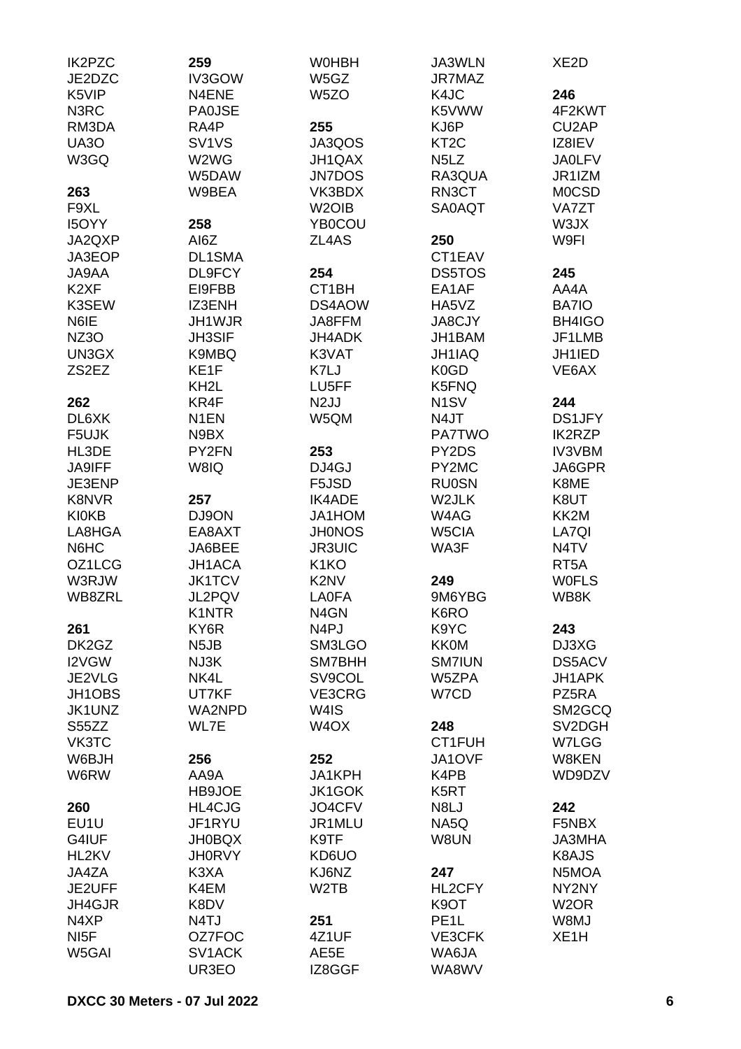| IK2PZC             | 259               | <b>WOHBH</b>                  | JA3WLN                        | XE <sub>2</sub> D |
|--------------------|-------------------|-------------------------------|-------------------------------|-------------------|
| JE2DZC             | IV3GOW            | W5GZ                          | <b>JR7MAZ</b>                 |                   |
| K5VIP              | N4ENE             | W <sub>5</sub> ZO             | K4JC                          | 246               |
| N3RC               | <b>PA0JSE</b>     |                               | K5VWW                         | 4F2KWT            |
| RM3DA              | RA4P              | 255                           | KJ6P                          | CU2AP             |
| <b>UA30</b>        | SV1VS             | JA3QOS                        | KT <sub>2</sub> C             | IZ8IEV            |
| W3GQ               | W2WG              | JH1QAX                        | N <sub>5</sub> L <sub>Z</sub> | <b>JA0LFV</b>     |
|                    | W5DAW             | <b>JN7DOS</b>                 | RA3QUA                        | JR1IZM            |
| 263                | W9BEA             | VK3BDX                        | RN3CT                         | <b>MOCSD</b>      |
| F9XL               |                   | W <sub>2</sub> OIB            | <b>SA0AQT</b>                 | VA7ZT             |
| I5OYY              | 258               | YB0COU                        |                               | W3JX              |
| JA2QXP             | AI6Z              | ZL4AS                         | 250                           | W9FI              |
| JA3EOP             | <b>DL1SMA</b>     |                               | CT1EAV                        |                   |
| JA9AA              | DL9FCY            | 254                           | <b>DS5TOS</b>                 | 245               |
| K <sub>2</sub> XF  | EI9FBB            | CT <sub>1</sub> BH            | EA1AF                         | AA4A              |
| K3SEW              | IZ3ENH            | DS4AOW                        | HA5VZ                         | BA7IO             |
| N6IE               | JH1WJR            | JA8FFM                        | <b>JA8CJY</b>                 | BH4IGO            |
| <b>NZ3O</b>        | <b>JH3SIF</b>     | JH4ADK                        | JH1BAM                        | JF1LMB            |
| UN3GX              | K9MBQ             | K3VAT                         | <b>JH1IAQ</b>                 | JH1IED            |
| ZS <sub>2</sub> EZ | KE1F              | K7LJ                          | K <sub>0</sub> GD             | VE6AX             |
|                    | KH <sub>2</sub> L | LU5FF                         | K5FNQ                         |                   |
| 262                | KR4F              | N <sub>2</sub> JJ             | N <sub>1</sub> SV             | 244               |
|                    |                   |                               |                               |                   |
| DL6XK              | N <sub>1</sub> EN | W5QM                          | N4JT                          | DS1JFY            |
| F5UJK              | N9BX              |                               | <b>PA7TWO</b>                 | <b>IK2RZP</b>     |
| HL3DE              | PY2FN             | 253                           | PY2DS                         | <b>IV3VBM</b>     |
| JA9IFF             | W8IQ              | DJ4GJ                         | PY2MC                         | JA6GPR            |
| JE3ENP             |                   | F5JSD                         | <b>RU0SN</b>                  | K8ME              |
| <b>K8NVR</b>       | 257               | <b>IK4ADE</b>                 | W2JLK                         | K8UT              |
| <b>KI0KB</b>       | DJ9ON             | JA1HOM                        | W4AG                          | KK2M              |
| LA8HGA             | EA8AXT            | <b>JH0NOS</b>                 | W5CIA                         | LA7QI             |
| N6HC               | JA6BEE            | <b>JR3UIC</b>                 | WA3F                          | N4TV              |
| OZ1LCG             | JH1ACA            | K <sub>1</sub> KO             |                               | RT5A              |
| W3RJW              | <b>JK1TCV</b>     | K <sub>2</sub> N <sub>V</sub> | 249                           | <b>WOFLS</b>      |
| WB8ZRL             | JL2PQV            | <b>LAOFA</b>                  | 9M6YBG                        | WB8K              |
|                    | K1NTR             | N4GN                          | K6RO                          |                   |
| 261                | KY6R              | N4PJ                          | K9YC                          | 243               |
| DK2GZ              | N <sub>5</sub> JB | SM3LGO                        | <b>KK0M</b>                   | DJ3XG             |
| I2VGW              | NJ3K              | SM7BHH                        | <b>SM7IUN</b>                 | DS5ACV            |
| JE2VLG             | NK4L              | SV9COL                        | W5ZPA                         | JH1APK            |
| JH1OBS             | UT7KF             | VE3CRG                        | W7CD                          | PZ5RA             |
| JK1UNZ             | WA2NPD            | W4IS                          |                               | SM2GCQ            |
| S55ZZ              | WL7E              | W <sub>4</sub> OX             | 248                           | SV2DGH            |
| VK3TC              |                   |                               | CT1FUH                        | W7LGG             |
| W6BJH              | 256               | 252                           | JA1OVF                        | W8KEN             |
| W6RW               | AA9A              | JA1KPH                        | K4PB                          | WD9DZV            |
|                    | HB9JOE            | JK1GOK                        | K <sub>5</sub> RT             |                   |
| 260                | HL4CJG            | JO4CFV                        | N8LJ                          | 242               |
|                    |                   | JR1MLU                        |                               | F5NBX             |
| EU1U               | JF1RYU            |                               | NA5Q                          |                   |
| G4IUF              | <b>JH0BQX</b>     | K9TF                          | W8UN                          | <b>JA3MHA</b>     |
| HL2KV              | <b>JH0RVY</b>     | KD6UO                         |                               | K8AJS             |
| JA4ZA              | K3XA              | KJ6NZ                         | 247                           | N5MOA             |
| JE2UFF             | K4EM              | W <sub>2</sub> TB             | HL2CFY                        | NY2NY             |
| JH4GJR             | K8DV              |                               | K <sub>9</sub> OT             | W <sub>2</sub> OR |
| N4XP               | N4TJ              | 251                           | PE <sub>1</sub> L             | W8MJ              |
| NI <sub>5</sub> F  | OZ7FOC            | 4Z1UF                         | VE3CFK                        | XE <sub>1</sub> H |
| W5GAI              | SV1ACK            | AE5E                          | WA6JA                         |                   |
|                    | UR3EO             | IZ8GGF                        | WA8WV                         |                   |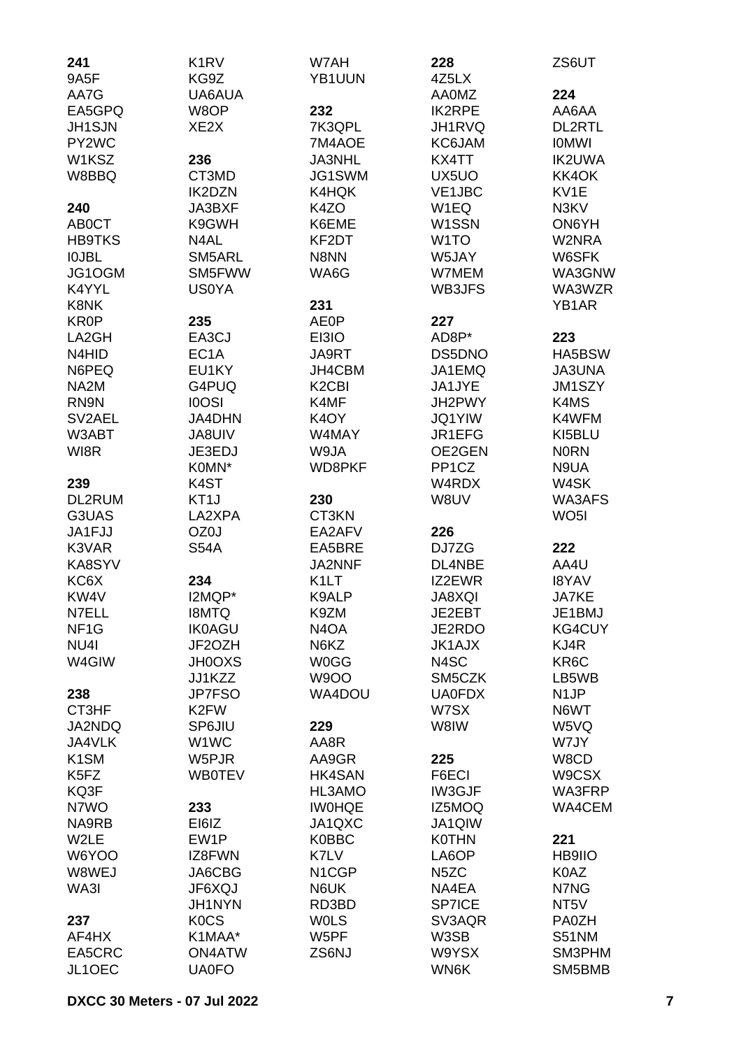| 241                           | K <sub>1</sub> RV | W7AH                           | 228                | ZS6UT             |
|-------------------------------|-------------------|--------------------------------|--------------------|-------------------|
| 9A5F                          | KG9Z              | YB1UUN                         | 4Z5LX              |                   |
| AA7G                          | UA6AUA            |                                | <b>AA0MZ</b>       | 224               |
| EA5GPQ                        | W8OP              | 232                            | <b>IK2RPE</b>      | AA6AA             |
| <b>JH1SJN</b>                 | XE2X              | 7K3QPL                         | JH1RVQ             | DL2RTL            |
| PY2WC                         |                   | 7M4AOE                         | KC6JAM             | <b>IOMWI</b>      |
| W1KSZ                         | 236               | <b>JA3NHL</b>                  | KX4TT              | <b>IK2UWA</b>     |
| W8BBQ                         | CT3MD             | JG1SWM                         | UX5UO              | KK4OK             |
|                               | <b>IK2DZN</b>     | K4HQK                          | VE1JBC             | KV1E              |
| 240                           | JA3BXF            | K4ZO                           | W1EQ               | N3KV              |
| <b>ABOCT</b>                  | K9GWH             | K6EME                          | W1SSN              | ON6YH             |
| <b>HB9TKS</b>                 | N4AL              | KF2DT                          | W <sub>1</sub> TO  | W2NRA             |
| <b>IOJBL</b>                  | SM5ARL            | N8NN                           | W5JAY              | W6SFK             |
| JG1OGM                        | SM5FWW            | WA6G                           | W7MEM              | WA3GNW            |
| K4YYL                         | <b>US0YA</b>      |                                | WB3JFS             | WA3WZR            |
| K8NK                          |                   | 231                            |                    | YB1AR             |
| <b>KR0P</b>                   | 235               | <b>AE0P</b>                    | 227                |                   |
| LA2GH                         | EA3CJ             | EI3IO                          | AD8P*              | 223               |
| N4HID                         | EC <sub>1</sub> A | JA9RT                          | DS5DNO             | HA5BSW            |
| N6PEQ                         | EU1KY             | JH4CBM                         | JA1EMQ             | <b>JA3UNA</b>     |
| NA <sub>2</sub> M             | G4PUQ             | K <sub>2</sub> C <sub>BI</sub> | JA1JYE             | JM1SZY            |
| RN9N                          | <b>IOOSI</b>      | K4MF                           | JH2PWY             | K4MS              |
| SV2AEL                        | <b>JA4DHN</b>     | K <sub>4</sub> OY              | <b>JQ1YIW</b>      | K4WFM             |
| W3ABT                         | <b>JA8UIV</b>     | W4MAY                          | JR1EFG             | KI5BLU            |
| WI8R                          | JE3EDJ            | W9JA                           | OE2GEN             | <b>NORN</b>       |
|                               | K0MN*             | WD8PKF                         | PP <sub>1</sub> CZ | N9UA              |
| 239                           | K4ST              |                                | W4RDX              | W4SK              |
| DL2RUM                        | KT <sub>1</sub> J | 230                            | W8UV               | WA3AFS            |
| G3UAS                         | LA2XPA            | CT3KN                          |                    | WO <sub>5</sub>   |
| JA1FJJ                        | OZ0J              | EA2AFV                         | 226                |                   |
| K3VAR                         | <b>S54A</b>       | EA5BRE                         | DJ7ZG              | 222               |
| KA8SYV                        |                   | <b>JA2NNF</b>                  | DL4NBE             | AA4U              |
| KC6X                          | 234               | K <sub>1</sub> LT              | IZ2EWR             | <b>I8YAV</b>      |
| KW4V                          | I2MQP*            | K9ALP                          | <b>JA8XQI</b>      | <b>JA7KE</b>      |
| N7ELL                         | <b>I8MTQ</b>      | K9ZM                           | JE2EBT             | JE1BMJ            |
| NF <sub>1</sub> G             | <b>IK0AGU</b>     | N4OA                           | JE2RDO             | <b>KG4CUY</b>     |
| NU <sub>4</sub>               | JF2OZH            | N6KZ                           | <b>JK1AJX</b>      | KJ4R              |
| W4GIW                         | <b>JH0OXS</b>     | <b>W0GG</b>                    | N4SC               | KR6C              |
|                               | JJ1KZZ            | <b>W9OO</b>                    | SM5CZK             | LB5WB             |
| 238                           | <b>JP7FSO</b>     | WA4DOU                         | <b>UA0FDX</b>      | N <sub>1</sub> JP |
| CT3HF                         | K <sub>2</sub> FW |                                | W7SX               | N6WT              |
| JA2NDQ                        | SP6JIU            | 229                            | W8IW               | W5VQ              |
| JA4VLK                        | W1WC              | AA8R                           |                    | W7JY              |
| K <sub>1</sub> SM             | W5PJR             | AA9GR                          | 225                | W8CD              |
| K <sub>5</sub> F <sub>Z</sub> | <b>WB0TEV</b>     | <b>HK4SAN</b>                  | F6ECI              | W9CSX             |
| KQ3F                          |                   | HL3AMO                         | <b>IW3GJF</b>      | WA3FRP            |
| N7WO                          | 233               | <b>IWOHQE</b>                  | IZ5MOQ             | WA4CEM            |
| NA9RB                         | EI6IZ             | JA1QXC                         | <b>JA1QIW</b>      |                   |
| W2LE                          | EW1P              | <b>K0BBC</b>                   | <b>K0THN</b>       | 221               |
| W6YOO                         | IZ8FWN            | K7LV                           | LA6OP              | <b>HB9IIO</b>     |
| W8WEJ                         | JA6CBG            | N <sub>1</sub> CGP             | N <sub>5</sub> ZC  | K0AZ              |
| WA3I                          | JF6XQJ            | N6UK                           | NA4EA              | N7NG              |
|                               | <b>JH1NYN</b>     | RD3BD                          | <b>SP7ICE</b>      | NT <sub>5</sub> V |
| 237                           | <b>KOCS</b>       | <b>WOLS</b>                    | SV3AQR             | PA0ZH             |
| AF4HX                         | K1MAA*            | W5PF                           | W3SB               | <b>S51NM</b>      |
| EA5CRC                        | <b>ON4ATW</b>     | ZS6NJ                          | W9YSX              | SM3PHM            |
| JL1OEC                        | <b>UA0FO</b>      |                                | WN6K               | SM5BMB            |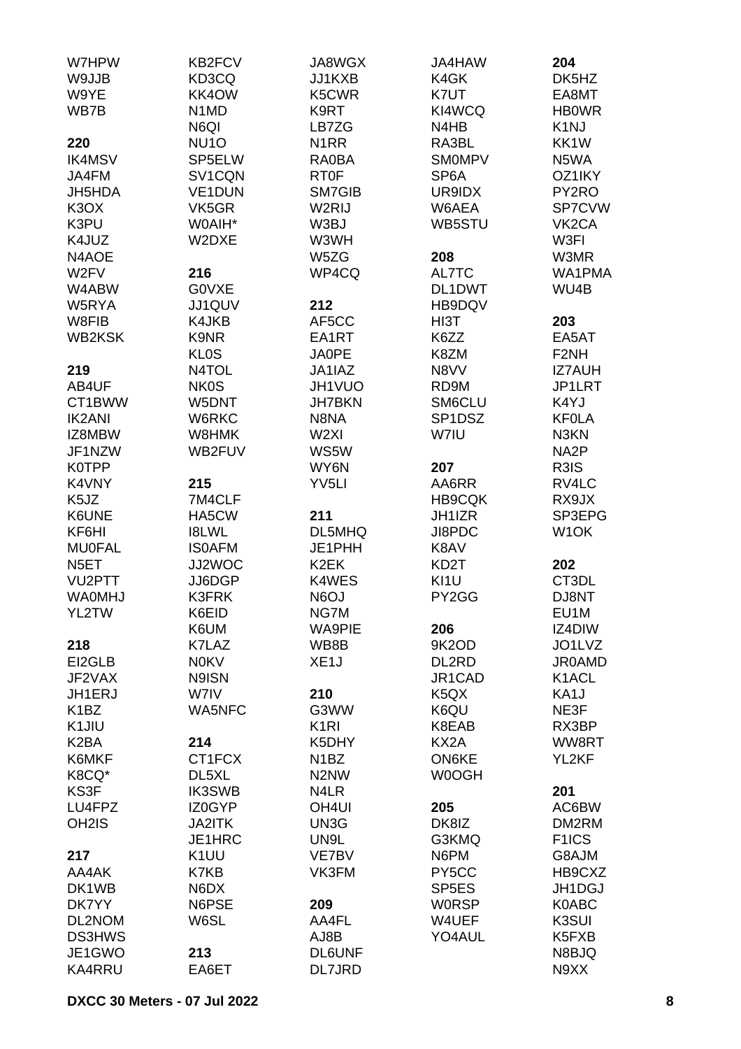| W7HPW                         | KB2FCV                        | JA8WGX            | <b>JA4HAW</b>                 | 204                |
|-------------------------------|-------------------------------|-------------------|-------------------------------|--------------------|
| W9JJB                         | KD3CQ                         | JJ1KXB            | K4GK                          | DK5HZ              |
| W9YE                          | KK4OW                         | K5CWR             | K7UT                          | EA8MT              |
| WB7B                          | N <sub>1</sub> M <sub>D</sub> | K9RT              | KI4WCQ                        | <b>HBOWR</b>       |
|                               | N6QI                          | LB7ZG             | N4HB                          | K <sub>1</sub> NJ  |
|                               |                               |                   |                               |                    |
| 220                           | NU <sub>10</sub>              | N <sub>1</sub> RR | RA3BL                         | KK1W               |
| <b>IK4MSV</b>                 | SP5ELW                        | RA0BA             | <b>SMOMPV</b>                 | N5WA               |
| JA4FM                         | SV1CQN                        | <b>RT0F</b>       | SP <sub>6</sub> A             | OZ1IKY             |
| JH5HDA                        | <b>VE1DUN</b>                 | SM7GIB            | UR9IDX                        | PY2RO              |
| K <sub>3</sub> O <sub>X</sub> | VK5GR                         | W2RIJ             | W6AEA                         | SP7CVW             |
| K3PU                          | W0AIH*                        | W3BJ              | WB5STU                        | VK <sub>2</sub> CA |
| K4JUZ                         | W2DXE                         | W3WH              |                               | W3FI               |
| N4AOE                         |                               | W5ZG              | 208                           | W3MR               |
| W2FV                          | 216                           | WP4CQ             | AL7TC                         | WA1PMA             |
| W4ABW                         | G0VXE                         |                   | DL1DWT                        | WU4B               |
| W5RYA                         | JJ1QUV                        | 212               | HB9DQV                        |                    |
| W8FIB                         | K4JKB                         | AF5CC             | HI3T                          | 203                |
| <b>WB2KSK</b>                 | K9NR                          | EA1RT             | K6ZZ                          | EA5AT              |
|                               |                               |                   |                               |                    |
|                               | <b>KLOS</b>                   | JA0PE             | K8ZM                          | F <sub>2NH</sub>   |
| 219                           | N4TOL                         | JA1IAZ            | N8VV                          | <b>IZ7AUH</b>      |
| AB4UF                         | <b>NK0S</b>                   | JH1VUO            | RD9M                          | JP1LRT             |
| CT1BWW                        | W5DNT                         | <b>JH7BKN</b>     | SM6CLU                        | K4YJ               |
| <b>IK2ANI</b>                 | W6RKC                         | N8NA              | SP1DSZ                        | <b>KFOLA</b>       |
| IZ8MBW                        | W8HMK                         | W <sub>2XI</sub>  | W7IU                          | N3KN               |
| JF1NZW                        | WB2FUV                        | WS5W              |                               | NA2P               |
| <b>K0TPP</b>                  |                               | WY6N              | 207                           | R3IS               |
| K4VNY                         | 215                           | YV <sub>5LI</sub> | AA6RR                         | RV4LC              |
| K <sub>5</sub> JZ             | 7M4CLF                        |                   | <b>HB9CQK</b>                 | RX9JX              |
| K6UNE                         | HA5CW                         | 211               | JH1IZR                        | SP3EPG             |
| KF6HI                         | <b>I8LWL</b>                  | DL5MHQ            | JI8PDC                        | W <sub>1</sub> OK  |
| <b>MU0FAL</b>                 | <b>ISOAFM</b>                 | JE1PHH            | K8AV                          |                    |
|                               |                               | K <sub>2</sub> EK |                               |                    |
| N <sub>5</sub> ET             | JJ2WOC                        |                   | KD <sub>2</sub> T             | 202                |
| VU2PTT                        | JJ6DGP                        | K4WES             | KI <sub>1U</sub>              | CT3DL              |
| <b>WAOMHJ</b>                 | <b>K3FRK</b>                  | <b>N6OJ</b>       | PY2GG                         | DJ8NT              |
| YL2TW                         | K6EID                         | NG7M              |                               | EU1M               |
|                               | K6UM                          | <b>WA9PIE</b>     | 206                           | IZ4DIW             |
| 218                           | K7LAZ                         | WB8B              | 9K2OD                         | JO1LVZ             |
| EI2GLB                        | <b>N0KV</b>                   | XE <sub>1</sub> J | DL2RD                         | <b>JR0AMD</b>      |
| JF2VAX                        | N9ISN                         |                   | JR1CAD                        | K1ACL              |
| JH1ERJ                        | W7IV                          | 210               | K <sub>5</sub> Q <sub>X</sub> | KA1J               |
| K <sub>1</sub> BZ             | <b>WA5NFC</b>                 | G3WW              | K6QU                          | NE3F               |
| K <sub>1</sub> JIU            |                               | K <sub>1</sub> RI | K8EAB                         | RX3BP              |
| K <sub>2</sub> BA             | 214                           | K5DHY             | KX2A                          | WW8RT              |
| K6MKF                         | CT1FCX                        | N <sub>1</sub> BZ | ON6KE                         | YL2KF              |
| K8CQ*                         | DL5XL                         | N2NW              | W0OGH                         |                    |
| KS3F                          | <b>IK3SWB</b>                 | N4LR              |                               | 201                |
| LU4FPZ                        | IZ0GYP                        | OH <sub>4UI</sub> | 205                           | AC6BW              |
| OH <sub>2</sub> IS            |                               |                   | DK8IZ                         | DM2RM              |
|                               | <b>JA2ITK</b>                 | UN3G              |                               |                    |
|                               | JE1HRC                        | UN9L              | G3KMQ                         | F <sub>1</sub> ICS |
| 217                           | K <sub>1</sub> UU             | VE7BV             | N6PM                          | G8AJM              |
| AA4AK                         | K7KB                          | VK3FM             | PY5CC                         | HB9CXZ             |
| DK1WB                         | N6DX                          |                   | SP <sub>5</sub> ES            | JH1DGJ             |
| DK7YY                         | N6PSE                         | 209               | <b>WORSP</b>                  | K0ABC              |
| DL2NOM                        | W6SL                          | AA4FL             | W4UEF                         | K3SUI              |
| <b>DS3HWS</b>                 |                               | AJ8B              | YO4AUL                        | K5FXB              |
| JE1GWO                        | 213                           | <b>DL6UNF</b>     |                               | N8BJQ              |
| <b>KA4RRU</b>                 | EA6ET                         | DL7JRD            |                               | N9XX               |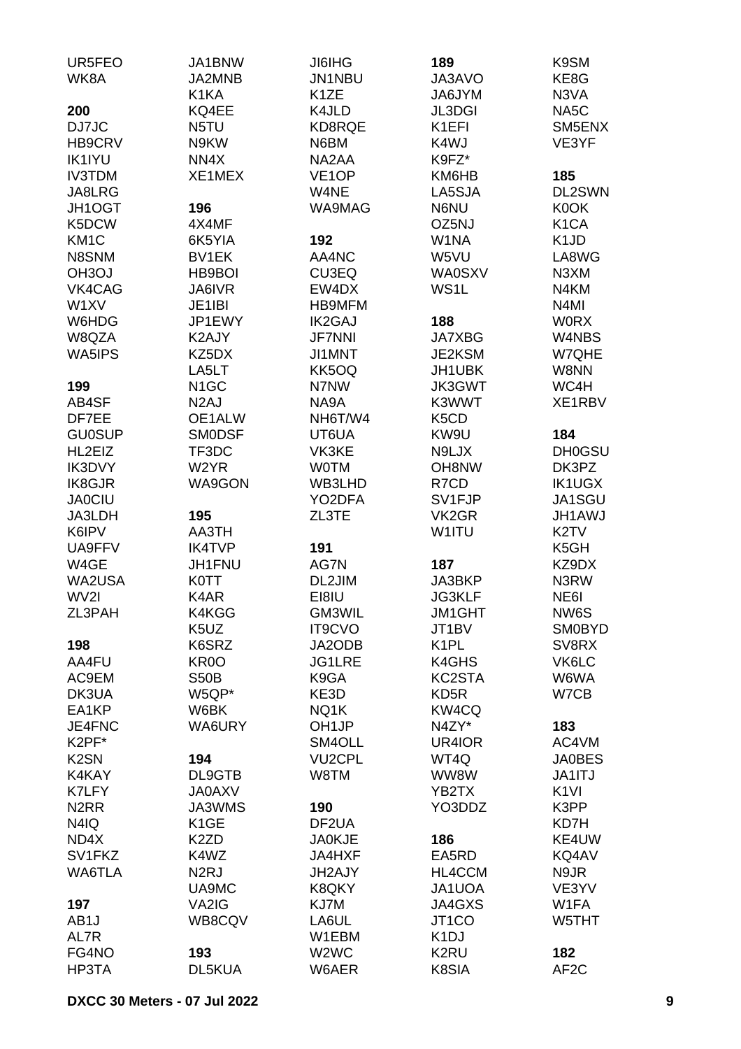| UR5FEO            | JA1BNW            | <b>JI6IHG</b>                 | 189                           | K9SM                          |
|-------------------|-------------------|-------------------------------|-------------------------------|-------------------------------|
| WK8A              | JA2MNB            | JN1NBU                        | JA3AVO                        | KE8G                          |
|                   | K1KA              | K <sub>1</sub> ZE             | JA6JYM                        | N3VA                          |
| 200               | KQ4EE             | K4JLD                         | <b>JL3DGI</b>                 | NA <sub>5</sub> C             |
| DJ7JC             | N5TU              | KD8RQE                        | K1EFI                         | SM5ENX                        |
| HB9CRV            | N9KW              | N6BM                          | K4WJ                          | VE3YF                         |
| <b>IK1IYU</b>     | NN4X              | NA2AA                         | K9FZ*                         |                               |
| <b>IV3TDM</b>     | XE1MEX            | VE <sub>1</sub> OP            | KM6HB                         | 185                           |
| JA8LRG            |                   | W4NE                          | LA5SJA                        | DL2SWN                        |
| JH1OGT            | 196               | WA9MAG                        | N6NU                          | K0OK                          |
| K5DCW             | 4X4MF             |                               | OZ5NJ                         | K <sub>1</sub> CA             |
| KM <sub>1</sub> C | 6K5YIA            | 192                           | W1NA                          | K <sub>1</sub> J <sub>D</sub> |
| N8SNM             | BV1EK             | AA4NC                         | W5VU                          | LA8WG                         |
| <b>OH3OJ</b>      | HB9BOI            | CU3EQ                         | <b>WA0SXV</b>                 | N3XM                          |
| VK4CAG            | <b>JA6IVR</b>     | EW4DX                         | WS1L                          | N4KM                          |
| W1XV              | JE1IBI            | <b>HB9MFM</b>                 |                               | N <sub>4</sub> MI             |
| W6HDG             | JP1EWY            | <b>IK2GAJ</b>                 | 188                           | <b>WORX</b>                   |
| W8QZA             | K2AJY             | <b>JF7NNI</b>                 | <b>JA7XBG</b>                 | W4NBS                         |
| WA5IPS            | KZ5DX             | JI1MNT                        | JE2KSM                        | W7QHE                         |
|                   | LA5LT             | KK5OQ                         | JH1UBK                        | W8NN                          |
| 199               | N <sub>1</sub> GC | N7NW                          | <b>JK3GWT</b>                 | WC4H                          |
| AB4SF             | N <sub>2</sub> AJ | NA9A                          | K3WWT                         | XE1RBV                        |
| DF7EE             | OE1ALW            | NH6T/W4                       | K <sub>5</sub> C <sub>D</sub> |                               |
| <b>GU0SUP</b>     | <b>SMODSF</b>     | UT6UA                         | KW9U                          | 184                           |
| HL2EIZ            | TF3DC             | VK3KE                         | N9LJX                         | <b>DH0GSU</b>                 |
| IK3DVY            | W2YR              | <b>WOTM</b>                   | OH8NW                         | DK3PZ                         |
| IK8GJR            | <b>WA9GON</b>     | WB3LHD                        | R7CD                          | <b>IK1UGX</b>                 |
| <b>JA0CIU</b>     |                   | YO2DFA                        | SV1FJP                        | JA1SGU                        |
| JA3LDH            | 195               | ZL3TE                         | VK <sub>2</sub> GR            | JH1AWJ                        |
| K6IPV             | AA3TH             |                               | W1ITU                         | K <sub>2</sub> TV             |
| UA9FFV            | <b>IK4TVP</b>     | 191                           |                               | K <sub>5</sub> GH             |
| W4GE              | JH1FNU            | AG7N                          | 187                           | KZ9DX                         |
| WA2USA            | <b>K0TT</b>       | DL2JIM                        | JA3BKP                        | N3RW                          |
| WV2I              | K4AR              | EI8IU                         | <b>JG3KLF</b>                 | NE <sub>6</sub>               |
| ZL3PAH            | K4KGG             | GM3WIL                        | <b>JM1GHT</b>                 | NW6S                          |
|                   | K5UZ              | <b>IT9CVO</b>                 | JT1BV                         | <b>SM0BYD</b>                 |
| 198               | K6SRZ             | JA2ODB                        | K <sub>1</sub> PL             | SV8RX                         |
| AA4FU             | KR <sub>0</sub> O | <b>JG1LRE</b>                 | K4GHS                         | VK6LC                         |
| AC9EM             | <b>S50B</b>       | K9GA                          | KC2STA                        | W6WA                          |
| DK3UA<br>EA1KP    | W5QP*<br>W6BK     | KE3D<br>NQ1K                  | KD <sub>5</sub> R<br>KW4CQ    | W7CB                          |
| JE4FNC            | WA6URY            | OH <sub>1JP</sub>             | N4ZY*                         | 183                           |
| K2PF*             |                   | SM4OLL                        | UR4IOR                        | AC4VM                         |
| K <sub>2</sub> SN | 194               | <b>VU2CPL</b>                 | WT4Q                          | <b>JA0BES</b>                 |
| K4KAY             | DL9GTB            | W8TM                          | WW8W                          | JA1ITJ                        |
| K7LFY             | <b>JA0AXV</b>     |                               | YB2TX                         | K <sub>1VI</sub>              |
| N <sub>2</sub> RR | JA3WMS            | 190                           | YO3DDZ                        | K3PP                          |
| N4IQ              | K <sub>1</sub> GE | DF2UA                         |                               | KD7H                          |
| ND4X              | K <sub>2</sub> ZD | <b>JA0KJE</b>                 | 186                           | KE4UW                         |
| SV1FKZ            | K4WZ              | JA4HXF                        | EA5RD                         | KQ4AV                         |
| WA6TLA            | N <sub>2</sub> RJ | JH2AJY                        | HL4CCM                        | N9JR                          |
|                   | UA9MC             | K8QKY                         | JA1UOA                        | VE3YV                         |
| 197               | VA2IG             | KJ7M                          | JA4GXS                        | W1FA                          |
| AB <sub>1</sub> J | WB8CQV            | LA6UL                         | JT <sub>1</sub> CO            | W5THT                         |
| AL7R              |                   | W1EBM                         | K <sub>1</sub> DJ             |                               |
| FG4NO             | 193               | W <sub>2</sub> W <sub>C</sub> | K <sub>2</sub> RU             | 182                           |
| HP3TA             | DL5KUA            | W6AER                         | K8SIA                         | AF <sub>2</sub> C             |
|                   |                   |                               |                               |                               |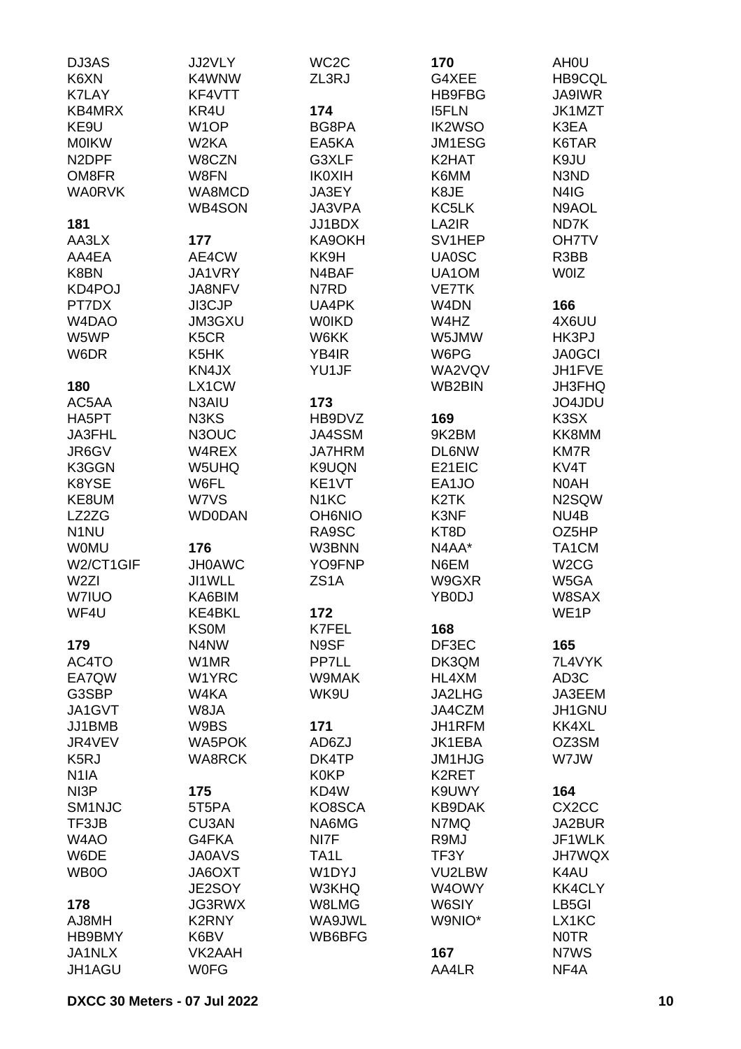| DJ3AS              | <b>JJ2VLY</b>     | WC <sub>2</sub> C | 170               | AH <sub>0</sub> U  |
|--------------------|-------------------|-------------------|-------------------|--------------------|
| K6XN               | K4WNW             | ZL3RJ             | G4XEE             | HB9CQL             |
| <b>K7LAY</b>       | KF4VTT            |                   | HB9FBG            | <b>JA9IWR</b>      |
| KB4MRX             | KR4U              | 174               | <b>I5FLN</b>      | JK1MZT             |
| KE9U               | W <sub>1</sub> OP | BG8PA             | <b>IK2WSO</b>     | K3EA               |
| <b>MOIKW</b>       | W2KA              | EA5KA             | JM1ESG            | K6TAR              |
| N <sub>2</sub> DPF | W8CZN             | G3XLF             | K2HAT             | K9JU               |
| OM8FR              | W8FN              | <b>IK0XIH</b>     | K6MM              | N3ND               |
| <b>WA0RVK</b>      | WA8MCD            | JA3EY             | K8JE              | N4IG               |
|                    | WB4SON            | JA3VPA            | KC5LK             | N9AOL              |
| 181                |                   | JJ1BDX            | LA2IR             | ND7K               |
| AA3LX              | 177               | KA9OKH            | SV1HEP            | <b>OH7TV</b>       |
| AA4EA              | AE4CW             | KK9H              | <b>UA0SC</b>      | R3BB               |
| K8BN               | JA1VRY            | N4BAF             | UA1OM             | <b>WOIZ</b>        |
| KD4POJ             | JA8NFV            | N7RD              | <b>VE7TK</b>      |                    |
| PT7DX              | JI3CJP            | UA4PK             | W <sub>4</sub> DN | 166                |
| W4DAO              | <b>JM3GXU</b>     | <b>WOIKD</b>      | W4HZ              | 4X6UU              |
| W5WP               | K <sub>5</sub> CR | W6KK              | W5JMW             | HK3PJ              |
| W6DR               | K5HK              | YB4IR             | W6PG              | <b>JA0GCI</b>      |
|                    | KN4JX             | YU1JF             | WA2VQV            | JH1FVE             |
| 180                | LX1CW             |                   | WB2BIN            | JH3FHQ             |
| AC5AA              | N3AIU             | 173               |                   | JO4JDU             |
| HA5PT              | N3KS              | HB9DVZ            | 169               | K3SX               |
| JA3FHL             | N3OUC             | <b>JA4SSM</b>     | 9K2BM             | KK8MM              |
| JR6GV              | W4REX             | <b>JA7HRM</b>     | <b>DL6NW</b>      | <b>KM7R</b>        |
| K3GGN              | W5UHQ             | K9UQN             | E21EIC            | KV4T               |
| K8YSE              | W6FL              | KE1VT             | EA1JO             | N0AH               |
| KE8UM              | W7VS              | N <sub>1</sub> KC | K <sub>2</sub> TK | N2SQW              |
| LZ2ZG              | <b>WD0DAN</b>     | <b>OH6NIO</b>     | K3NF              | NU4B               |
| N <sub>1</sub> NU  |                   | RA9SC             | KT8D              | OZ5HP              |
| <b>WOMU</b>        | 176               | W3BNN             | N4AA*             | TA1CM              |
| W2/CT1GIF          | <b>JH0AWC</b>     | YO9FNP            | N6EM              | W <sub>2</sub> CG  |
| W <sub>2ZI</sub>   | JI1WLL            | ZS <sub>1</sub> A | W9GXR             | W5GA               |
| <b>W7IUO</b>       | KA6BIM            |                   | YB0DJ             | W8SAX              |
| WF4U               | KE4BKL            | 172               |                   | WE1P               |
|                    | <b>KS0M</b>       | K7FEL             | 168               |                    |
| 179                | N4NW              | N9SF              | DF3EC             | 165                |
| AC4TO              | W1MR              | PP7LL             | DK3QM             | 7L4VYK             |
| EA7QW              | W1YRC             | W9MAK             | HL4XM             | AD <sub>3</sub> C  |
| G3SBP              | W4KA              | WK9U              | JA2LHG            | JA3EEM             |
| JA1GVT             | W8JA              |                   | JA4CZM            | JH1GNU             |
| JJ1BMB             | W9BS              | 171               | JH1RFM            | KK4XL              |
| JR4VEV             | <b>WA5POK</b>     | AD6ZJ             | JK1EBA            | OZ3SM              |
| K <sub>5</sub> RJ  | <b>WA8RCK</b>     | DK4TP             | <b>JM1HJG</b>     | W7JW               |
| N <sub>1</sub> IA  |                   | <b>K0KP</b>       | K2RET             |                    |
| NI3P               | 175               | KD4W              | K9UWY             | 164                |
| SM <sub>1NJC</sub> | 5T5PA             | KO8SCA            | <b>KB9DAK</b>     | CX <sub>2</sub> CC |
| TF3JB              | <b>CU3AN</b>      | NA6MG             | N7MQ              | JA2BUR             |
| W <sub>4</sub> AO  | G4FKA             | NI7F              | R9MJ              | JF1WLK             |
| W6DE               | <b>JA0AVS</b>     | TA1L              | TF3Y              | <b>JH7WQX</b>      |
| WB0O               | JA6OXT            | W1DYJ             | VU2LBW            | K4AU               |
|                    | JE2SOY            | W3KHQ             | W4OWY             | <b>KK4CLY</b>      |
| 178                | <b>JG3RWX</b>     | W8LMG             | W6SIY             | LB <sub>5</sub> GI |
| AJ8MH              | <b>K2RNY</b>      | WA9JWL            | W9NIO*            | LX1KC              |
| HB9BMY             | K6BV              | WB6BFG            |                   | <b>NOTR</b>        |
| JA1NLX             | VK2AAH            |                   | 167               | N7WS               |
| JH1AGU             | <b>W0FG</b>       |                   | AA4LR             | NF4A               |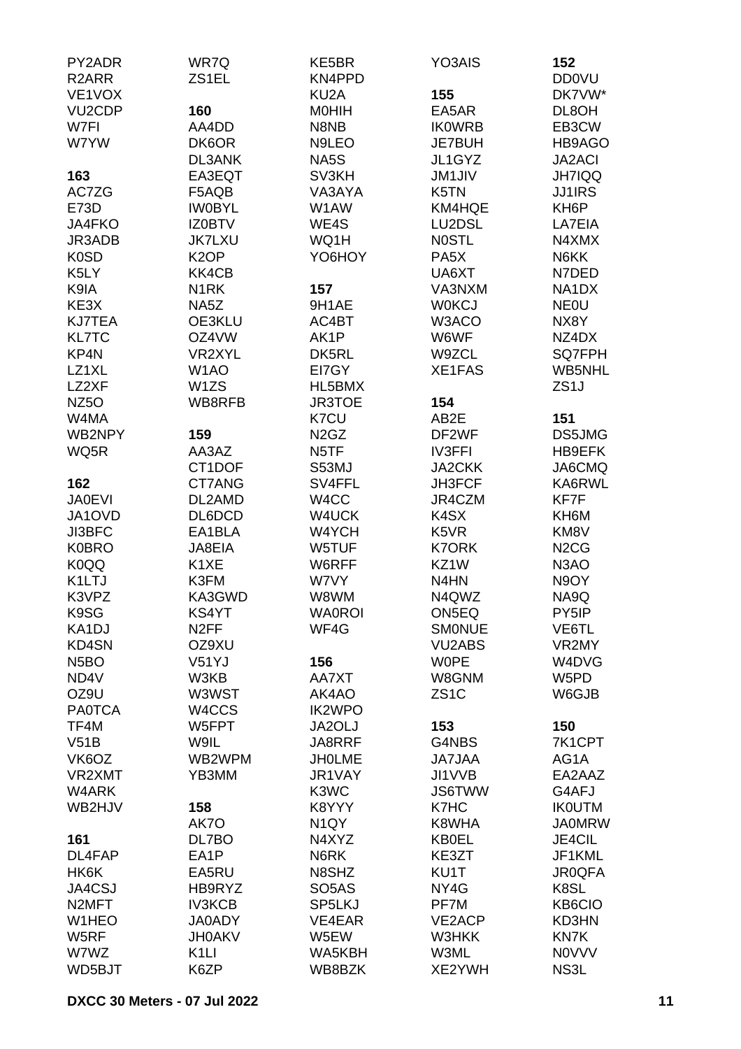| PY2ADR              | WR7Q              | KE5BR                         | YO3AIS                        | 152                           |
|---------------------|-------------------|-------------------------------|-------------------------------|-------------------------------|
| R <sub>2</sub> ARR  | ZS1EL             | KN4PPD                        |                               | <b>DD0VU</b>                  |
| VE1VOX              |                   | KU <sub>2</sub> A             | 155                           | DK7VW*                        |
| VU <sub>2</sub> CDP | 160               | <b>MOHIH</b>                  | EA5AR                         | DL8OH                         |
| W7FI                | AA4DD             | N8NB                          | <b>IK0WRB</b>                 | EB3CW                         |
| W7YW                | DK6OR             | N9LEO                         | JE7BUH                        | HB9AGO                        |
|                     | <b>DL3ANK</b>     | NA5S                          | JL1GYZ                        | <b>JA2ACI</b>                 |
| 163                 | EA3EQT            | SV3KH                         | <b>JM1JIV</b>                 | <b>JH7IQQ</b>                 |
| AC7ZG               |                   |                               |                               |                               |
|                     | F5AQB             | VA3AYA                        | K5TN                          | <b>JJ1IRS</b>                 |
| E73D                | <b>IWOBYL</b>     | W1AW                          | KM4HQE                        | KH <sub>6</sub> P             |
| JA4FKO              | <b>IZ0BTV</b>     | WE4S                          | LU2DSL                        | LA7EIA                        |
| JR3ADB              | <b>JK7LXU</b>     | WQ1H                          | <b>NOSTL</b>                  | N4XMX                         |
| K <sub>0</sub> SD   | K <sub>2</sub> OP | YO6HOY                        | PA <sub>5</sub> X             | N6KK                          |
| K5LY                | KK4CB             |                               | UA6XT                         | N7DED                         |
| K9IA                | N <sub>1</sub> RK | 157                           | VA3NXM                        | NA1DX                         |
| KE3X                | NA5Z              | 9H1AE                         | <b>W0KCJ</b>                  | <b>NEOU</b>                   |
| <b>KJ7TEA</b>       | OE3KLU            | AC4BT                         | W3ACO                         | NX8Y                          |
| <b>KL7TC</b>        | OZ4VW             | AK1P                          | W6WF                          | NZ4DX                         |
| KP4N                | VR2XYL            | DK5RL                         | W9ZCL                         | SQ7FPH                        |
| LZ1XL               | W <sub>1</sub> AO | EI7GY                         | XE1FAS                        | WB5NHL                        |
| LZ2XF               | W <sub>1</sub> ZS | HL5BMX                        |                               | ZS <sub>1</sub> J             |
| NZ <sub>50</sub>    | WB8RFB            | JR3TOE                        | 154                           |                               |
| W4MA                |                   | K7CU                          | AB2E                          | 151                           |
| WB2NPY              | 159               | N <sub>2</sub> G <sub>Z</sub> | DF2WF                         | DS5JMG                        |
| WQ5R                | AA3AZ             | N5TF                          | <b>IV3FFI</b>                 | HB9EFK                        |
|                     | CT1DOF            | S53MJ                         | <b>JA2CKK</b>                 | JA6CMQ                        |
| 162                 | CT7ANG            | SV4FFL                        | JH3FCF                        | KA6RWL                        |
|                     |                   |                               |                               |                               |
| <b>JA0EVI</b>       | DL2AMD            | W4CC                          | JR4CZM                        | KF7F                          |
| JA1OVD              | DL6DCD            | W4UCK                         | K4SX                          | KH6M                          |
| JI3BFC              | EA1BLA            | W4YCH                         | K <sub>5</sub> V <sub>R</sub> | KM8V                          |
| <b>K0BRO</b>        | JA8EIA            | W5TUF                         | <b>K7ORK</b>                  | N <sub>2</sub> C <sub>G</sub> |
| K0QQ                | K <sub>1</sub> XE | W6RFF                         | KZ1W                          | N <sub>3</sub> AO             |
| K1LTJ               | K3FM              | W7VY                          | N4HN                          | N9OY                          |
| K3VPZ               | KA3GWD            | W8WM                          | N4QWZ                         | NA9Q                          |
| K9SG                | KS4YT             | <b>WA0ROI</b>                 | ON5EQ                         | PY5IP                         |
| KA1DJ               | N <sub>2</sub> FF | WF4G                          | <b>SMONUE</b>                 | VE6TL                         |
| KD4SN               | OZ9XU             |                               | <b>VU2ABS</b>                 | VR2MY                         |
| N <sub>5</sub> BO   | V51YJ             | 156                           | <b>WOPE</b>                   | W4DVG                         |
| ND4V                | W3KB              | AA7XT                         | W8GNM                         | W5PD                          |
| OZ9U                | W3WST             | AK4AO                         | ZS <sub>1</sub> C             | W6GJB                         |
| <b>PA0TCA</b>       | W4CCS             | <b>IK2WPO</b>                 |                               |                               |
| TF4M                | W5FPT             | JA2OLJ                        | 153                           | 150                           |
| V51B                | W9IL              | JA8RRF                        | G4NBS                         | 7K1CPT                        |
| VK6OZ               | WB2WPM            | <b>JHOLME</b>                 | <b>JA7JAA</b>                 | AG1A                          |
| VR2XMT              | YB3MM             | JR1VAY                        | JI1VVB                        | EA2AAZ                        |
| W4ARK               |                   | K3WC                          | <b>JS6TWW</b>                 | G4AFJ                         |
| WB2HJV              | 158               | K8YYY                         | K7HC                          | <b>IK0UTM</b>                 |
|                     | AK7O              | N <sub>1</sub> QY             | K8WHA                         | <b>JA0MRW</b>                 |
| 161                 | DL7BO             | N4XYZ                         | <b>KB0EL</b>                  | <b>JE4CIL</b>                 |
| DL4FAP              | EA1P              | N6RK                          | KE3ZT                         | JF1KML                        |
| HK6K                | EA5RU             | N8SHZ                         | KU1T                          | <b>JR0QFA</b>                 |
| JA4CSJ              | HB9RYZ            | SO <sub>5</sub> AS            | NY4G                          | K8SL                          |
| N <sub>2</sub> MFT  | <b>IV3KCB</b>     | SP5LKJ                        | PF7M                          | KB6CIO                        |
|                     |                   |                               |                               |                               |
| W1HEO               | <b>JA0ADY</b>     | VE4EAR                        | VE2ACP                        | KD3HN                         |
| W5RF                | <b>JH0AKV</b>     | W5EW                          | W3HKK                         | KN7K                          |
| W7WZ                | K <sub>1</sub> LI | WA5KBH                        | W3ML                          | <b>NOVVV</b>                  |
| WD5BJT              | K6ZP              | WB8BZK                        | XE2YWH                        | NS3L                          |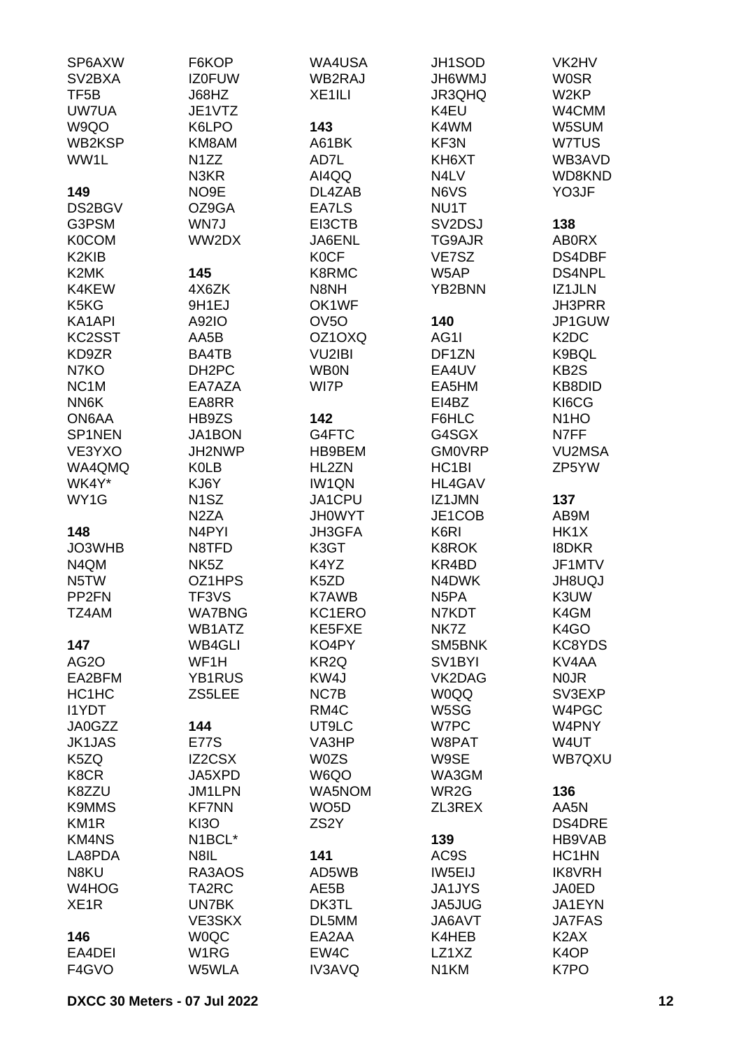| SP6AXW                         | F6KOP              | WA4USA             | JH1SOD              | VK2HV                         |
|--------------------------------|--------------------|--------------------|---------------------|-------------------------------|
| SV <sub>2</sub> BXA            | <b>IZ0FUW</b>      | WB2RAJ             | <b>UMW9HL</b>       | <b>WOSR</b>                   |
| TF <sub>5</sub> B              | J68HZ              | XE <sub>1ILI</sub> | <b>JR3QHQ</b>       | W2KP                          |
| UW7UA                          | JE1VTZ             |                    | K4EU                | W4CMM                         |
| W9QO                           | K6LPO              | 143                | K4WM                | W5SUM                         |
| WB2KSP                         | KM8AM              | A61BK              | KF3N                | W7TUS                         |
| WW1L                           | N <sub>1</sub> ZZ  | AD7L               | KH6XT               | WB3AVD                        |
|                                | N3KR               | AI4QQ              | N4LV                | WD8KND                        |
| 149                            | NO9E               | DL4ZAB             | N6VS                | YO3JF                         |
| DS2BGV                         | OZ9GA              | EA7LS              | NU1T                |                               |
| G3PSM                          | WN7J               | EI3CTB             | SV2DSJ              | 138                           |
| <b>K0COM</b>                   | WW2DX              | JA6ENL             | TG9AJR              | <b>ABORX</b>                  |
| K <sub>2</sub> KI <sub>B</sub> |                    | <b>KOCF</b>        | VE7SZ               | DS4DBF                        |
| K2MK                           | 145                | K8RMC              | W5AP                | DS4NPL                        |
| K4KEW                          | 4X6ZK              | N8NH               | YB2BNN              | IZ1JLN                        |
| K <sub>5</sub> K <sub>G</sub>  | 9H1EJ              | OK1WF              |                     | JH3PRR                        |
| KA1API                         | A92IO              | OV <sub>50</sub>   | 140                 | JP1GUW                        |
| KC2SST                         | AA5B               | OZ1OXQ             | AG1I                | K <sub>2</sub> D <sub>C</sub> |
| KD9ZR                          | BA4TB              | <b>VU2IBI</b>      | DF1ZN               | K9BQL                         |
| N7KO                           | DH <sub>2</sub> PC | <b>WBON</b>        | EA4UV               | KB <sub>2</sub> S             |
| NC <sub>1</sub> M              | EA7AZA             | WI7P               | EA5HM               | KB8DID                        |
| NN6K                           | EA8RR              |                    | EI4BZ               | KI6CG                         |
| ON6AA                          | HB9ZS              | 142                | F6HLC               | N <sub>1</sub> HO             |
| SP1NEN                         | JA1BON             | G4FTC              | G4SGX               | N7FF                          |
| VE3YXO                         | JH2NWP             | HB9BEM             | <b>GM0VRP</b>       | <b>VU2MSA</b>                 |
| WA4QMQ                         |                    |                    |                     |                               |
|                                | <b>K0LB</b>        | HL2ZN              | HC <sub>1</sub> BI  | ZP5YW                         |
| WK4Y*                          | KJ6Y               | IW1QN              | <b>HL4GAV</b>       |                               |
| WY1G                           | N <sub>1</sub> SZ  | JA1CPU             | IZ1JMN              | 137                           |
|                                | N <sub>2</sub> ZA  | <b>JH0WYT</b>      | JE1COB              | AB9M                          |
| 148                            | N4PYI              | JH3GFA             | K6RI                | HK1X                          |
| JO3WHB                         | N8TFD              | K3GT               | <b>K8ROK</b>        | <b>I8DKR</b>                  |
| N4QM                           | NK <sub>5</sub> Z  | K4YZ               | KR4BD               | JF1MTV                        |
| N5TW                           | OZ1HPS             | K5ZD               | N4DWK               | <b>JH8UQJ</b>                 |
| PP <sub>2FN</sub>              | TF3VS              | <b>K7AWB</b>       | N <sub>5</sub> PA   | K3UW                          |
| TZ4AM                          | <b>WA7BNG</b>      | KC1ERO             | N7KDT               | K4GM                          |
|                                | WB1ATZ             | KE5FXE             | NK7Z                | K <sub>4</sub> GO             |
| 147                            | <b>WB4GLI</b>      | KO4PY              | SM5BNK              | KC8YDS                        |
| <b>AG2O</b>                    | WF1H               | KR <sub>2Q</sub>   | SV <sub>1</sub> BYI | KV4AA                         |
| EA2BFM                         | YB1RUS             | KW4J               | VK2DAG              | <b>NOJR</b>                   |
| HC <sub>1</sub> H <sub>C</sub> | ZS5LEE             | NC7B               | <b>W0QQ</b>         | SV3EXP                        |
| <b>I1YDT</b>                   |                    | RM4C               | W5SG                | W4PGC                         |
| JA0GZZ                         | 144                | UT9LC              | W7PC                | W4PNY                         |
| <b>JK1JAS</b>                  | <b>E77S</b>        | VA3HP              | W8PAT               | W4UT                          |
| K5ZQ                           | IZ2CSX             | <b>W0ZS</b>        | W9SE                | WB7QXU                        |
| K8CR                           | JA5XPD             | W6QO               | WA3GM               |                               |
| K8ZZU                          | <b>JM1LPN</b>      | WA5NOM             | WR2G                | 136                           |
| <b>K9MMS</b>                   | <b>KF7NN</b>       | WO <sub>5</sub> D  | ZL3REX              | AA5N                          |
| KM <sub>1R</sub>               | <b>KI3O</b>        | ZS <sub>2</sub> Y  |                     | <b>DS4DRE</b>                 |
| <b>KM4NS</b>                   | N1BCL*             |                    | 139                 | HB9VAB                        |
| LA8PDA                         | N8IL               | 141                | AC9S                | HC1HN                         |
| N8KU                           | RA3AOS             | AD5WB              | IW5EIJ              | <b>IK8VRH</b>                 |
| W4HOG                          | TA2RC              | AE5B               | <b>JA1JYS</b>       | <b>JA0ED</b>                  |
| XE <sub>1</sub> R              | UN7BK              | DK3TL              | JA5JUG              | JA1EYN                        |
|                                | VE3SKX             | DL5MM              | JA6AVT              | <b>JA7FAS</b>                 |
| 146                            | <b>WOQC</b>        | EA2AA              | K4HEB               | K <sub>2</sub> AX             |
| EA4DEI                         | W <sub>1</sub> RG  | EW4C               | LZ1XZ               | K <sub>4</sub> OP             |
| F4GVO                          | W5WLA              | IV3AVQ             | N1KM                | K7PO                          |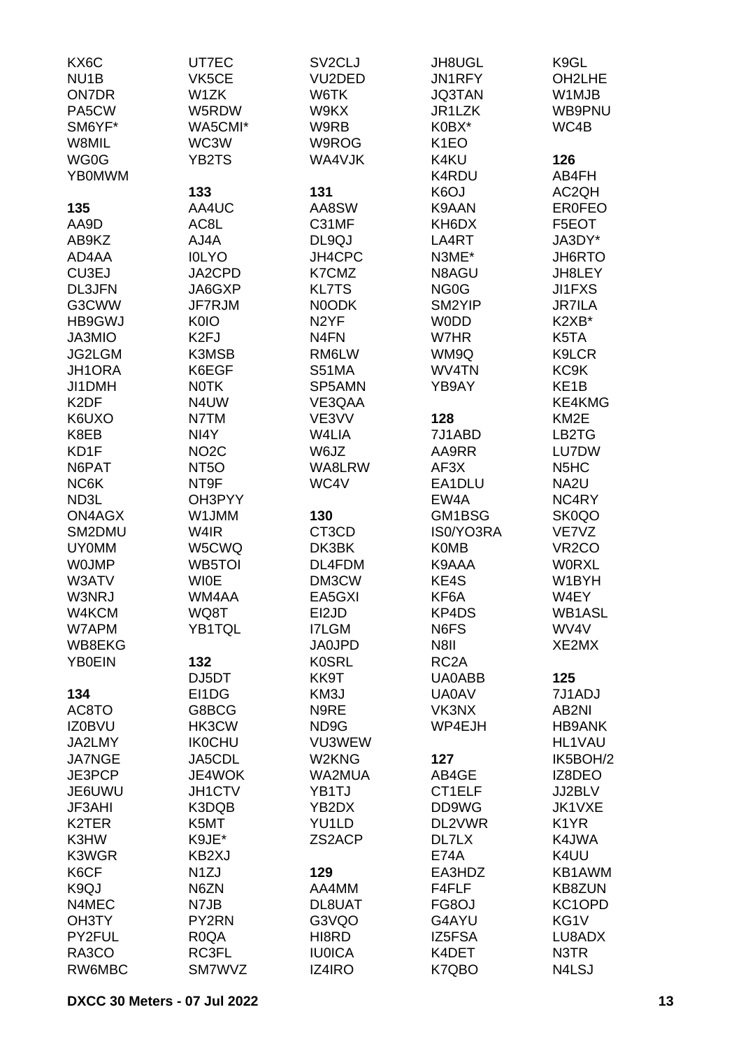| KX6C               | UT7EC             | SV <sub>2</sub> CLJ | JH8UGL            | K9GL                          |
|--------------------|-------------------|---------------------|-------------------|-------------------------------|
| NU <sub>1</sub> B  | VK5CE             | VU2DED              | JN1RFY            | OH2LHE                        |
| <b>ON7DR</b>       | W <sub>1</sub> ZK | W6TK                | <b>JQ3TAN</b>     | W1MJB                         |
| PA5CW              | W5RDW             | W9KX                | JR1LZK            | WB9PNU                        |
| SM6YF*             | WA5CMI*           | W9RB                | K0BX*             | WC4B                          |
| W8MIL              | WC3W              | W9ROG               | K <sub>1</sub> EO |                               |
| WG0G               | YB2TS             | WA4VJK              | K4KU              | 126                           |
| <b>YB0MWM</b>      |                   |                     | K4RDU             | AB4FH                         |
|                    | 133               | 131                 | K <sub>6</sub> OJ | AC2QH                         |
|                    | AA4UC             | AA8SW               | K9AAN             | <b>ER0FEO</b>                 |
| 135                |                   |                     |                   |                               |
| AA9D               | AC8L              | C31MF               | KH6DX             | F5EOT                         |
| AB9KZ              | AJ4A              | DL9QJ               | LA4RT             | JA3DY*                        |
| AD4AA              | <b>IOLYO</b>      | <b>JH4CPC</b>       | N3ME*             | JH6RTO                        |
| CU3EJ              | JA2CPD            | K7CMZ               | N8AGU             | JH8LEY                        |
| <b>DL3JFN</b>      | JA6GXP            | <b>KL7TS</b>        | NG <sub>0</sub> G | JI1FXS                        |
| G3CWW              | JF7RJM            | N0ODK               | SM2YIP            | <b>JR7ILA</b>                 |
| <b>HB9GWJ</b>      | K0IO              | N <sub>2</sub> YF   | <b>WODD</b>       | K2XB*                         |
| JA3MIO             | K <sub>2FJ</sub>  | N <sub>4</sub> FN   | W7HR              | K5TA                          |
| JG2LGM             | K3MSB             | RM6LW               | WM9Q              | K9LCR                         |
| JH1ORA             | K6EGF             | <b>S51MA</b>        | WV4TN             | KC <sub>9</sub> K             |
| JI1DMH             | <b>NOTK</b>       | SP5AMN              | YB9AY             | KE <sub>1</sub> B             |
| K <sub>2</sub> DF  | N4UW              | VE3QAA              |                   | KE4KMG                        |
| K6UXO              | N7TM              | VE3VV               | 128               | KM <sub>2</sub> E             |
| K8EB               | NI4Y              | W4LIA               | 7J1ABD            | LB2TG                         |
| KD1F               | NO <sub>2</sub> C | W6JZ                | AA9RR             | LU7DW                         |
| N6PAT              | NT <sub>5</sub> O | WA8LRW              | AF3X              | N <sub>5</sub> H <sub>C</sub> |
| NC6K               | NT9F              | WC4V                | EA1DLU            | NA <sub>2U</sub>              |
| ND3L               | OH3PYY            |                     | EW4A              | NC4RY                         |
| ON4AGX             | W1JMM             | 130                 | GM1BSG            | SK0QO                         |
| SM2DMU             | W4IR              | CT3CD               | IS0/YO3RA         | VE7VZ                         |
| <b>UY0MM</b>       | W5CWQ             | DK3BK               | <b>K0MB</b>       | VR <sub>2</sub> CO            |
| <b>WOJMP</b>       | WB5TOI            | DL4FDM              | K9AAA             | <b>WORXL</b>                  |
| W3ATV              | <b>WIOE</b>       | DM3CW               | KE4S              | W1BYH                         |
| W3NRJ              | WM4AA             | EA5GXI              | KF6A              | W4EY                          |
| W4KCM              | WQ8T              | EI2JD               | KP4DS             | WB1ASL                        |
| W7APM              | YB1TQL            | <b>I7LGM</b>        | N6FS              | WV4V                          |
| WB8EKG             |                   | <b>JA0JPD</b>       | N8II              | XE2MX                         |
| <b>YB0EIN</b>      | 132               | <b>K0SRL</b>        | RC <sub>2</sub> A |                               |
|                    | DJ5DT             | KK9T                | UA0ABB            | 125                           |
| 134                | EI1DG             | KM3J                | <b>UA0AV</b>      | 7J1ADJ                        |
| AC8TO              | G8BCG             | N9RE                | VK3NX             | AB2NI                         |
| <b>IZ0BVU</b>      | HK3CW             | ND9G                | WP4EJH            | <b>HB9ANK</b>                 |
| JA2LMY             | <b>IK0CHU</b>     | VU3WEW              |                   | HL1VAU                        |
| <b>JA7NGE</b>      | JA5CDL            | W2KNG               | 127               | IK5BOH/2                      |
| JE3PCP             | JE4WOK            | WA2MUA              | AB4GE             | IZ8DEO                        |
| JE6UWU             | JH1CTV            | YB1TJ               | CT1ELF            | JJ2BLV                        |
| <b>JF3AHI</b>      | K3DQB             | YB2DX               | DD9WG             | JK1VXE                        |
| K <sub>2</sub> TER | K5MT              | YU1LD               | DL2VWR            | K <sub>1</sub> YR             |
| K3HW               | K9JE*             | ZS2ACP              | DL7LX             | K4JWA                         |
| K3WGR              | KB2XJ             |                     | <b>E74A</b>       | K4UU                          |
| K6CF               |                   | 129                 | EA3HDZ            | KB1AWM                        |
|                    | N <sub>1</sub> ZJ |                     |                   |                               |
| K9QJ               | N6ZN              | AA4MM               | F4FLF             | KB8ZUN                        |
| N4MEC              | N7JB              | DL8UAT              | FG8OJ             | KC1OPD                        |
| OH3TY              | PY2RN             | G3VQO               | G4AYU             | KG1V                          |
| PY2FUL             | R <sub>0</sub> QA | HI8RD               | IZ5FSA            | LU8ADX                        |
| RA3CO              | RC3FL             | <b>IU0ICA</b>       | K4DET             | N3TR                          |
| RW6MBC             | SM7WVZ            | IZ4IRO              | K7QBO             | N4LSJ                         |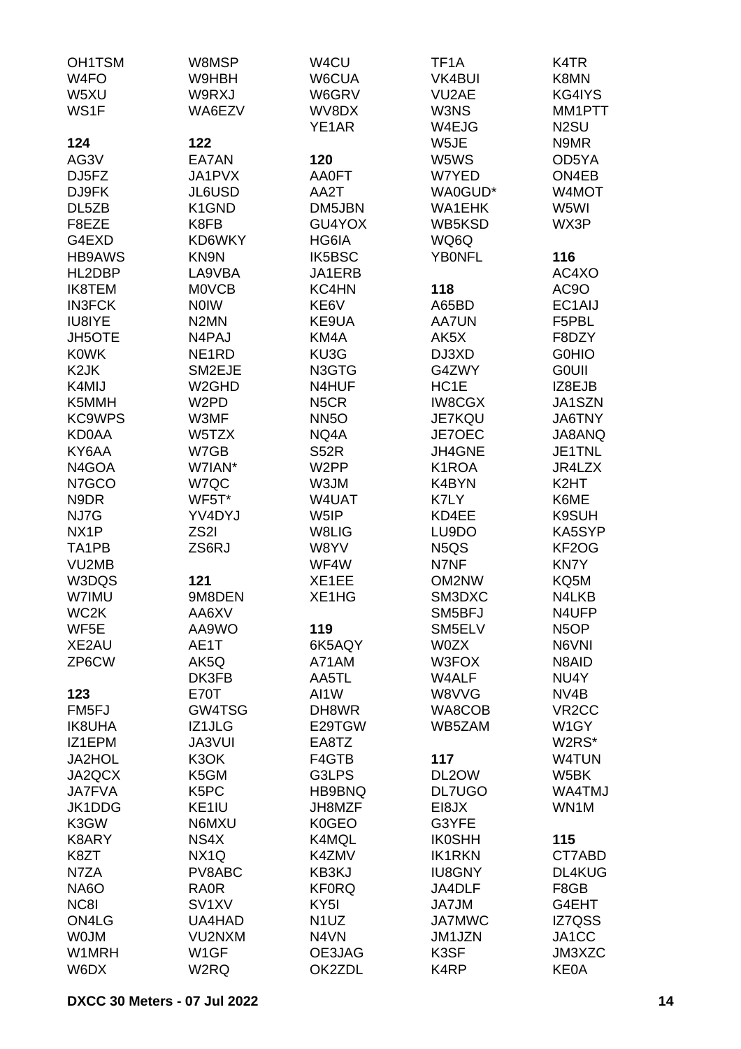| OH1TSM<br>W <sub>4FO</sub><br>W5XU | W8MSP<br>W9HBH<br>W9RXJ          | W4CU<br>W6CUA<br>W6GRV | TF <sub>1</sub> A<br>VK4BUI<br>VU2AE | K4TR<br>K8MN<br>KG4IYS      |
|------------------------------------|----------------------------------|------------------------|--------------------------------------|-----------------------------|
| WS1F                               | WA6EZV                           | WV8DX<br>YE1AR         | W3NS<br>W4EJG                        | MM1PTT<br>N <sub>2</sub> SU |
| 124                                | 122                              |                        | W5JE                                 | N9MR                        |
| AG3V                               | EA7AN                            | 120                    | W5WS                                 | OD5YA                       |
| DJ5FZ                              | JA1PVX                           | <b>AA0FT</b>           | W7YED                                | ON4EB                       |
| DJ9FK                              | JL6USD                           | AA2T                   | WA0GUD*                              | W4MOT                       |
| DL5ZB                              | K1GND                            | DM5JBN                 | <b>WA1EHK</b>                        | W5WI                        |
| F8EZE                              | K8FB                             | GU4YOX                 | WB5KSD                               | WX3P                        |
| G4EXD                              | KD6WKY                           | HG6IA                  | WQ6Q                                 |                             |
| <b>HB9AWS</b>                      | KN9N                             | IK5BSC                 | <b>YBONFL</b>                        | 116                         |
| HL2DBP                             | LA9VBA                           | JA1ERB                 |                                      | AC4XO                       |
| <b>IK8TEM</b>                      | <b>MOVCB</b>                     | KC4HN                  | 118                                  | AC <sub>9</sub> O           |
| <b>IN3FCK</b><br>IU8IYE            | <b>NOIW</b><br>N <sub>2</sub> MN | KE6V<br>KE9UA          | A65BD<br><b>AA7UN</b>                | EC1AIJ<br>F5PBL             |
| <b>JH5OTE</b>                      | N4PAJ                            | KM4A                   | AK5X                                 | F8DZY                       |
| <b>K0WK</b>                        | NE <sub>1</sub> RD               | KU3G                   | DJ3XD                                | <b>G0HIO</b>                |
| K <sub>2</sub> JK                  | SM2EJE                           | N3GTG                  | G4ZWY                                | <b>GOUII</b>                |
| K4MIJ                              | W <sub>2</sub> GHD               | N4HUF                  | HC1E                                 | IZ8EJB                      |
| K5MMH                              | W <sub>2</sub> PD                | N <sub>5</sub> CR      | <b>IW8CGX</b>                        | JA1SZN                      |
| <b>KC9WPS</b>                      | W3MF                             | <b>NN5O</b>            | JE7KQU                               | JA6TNY                      |
| <b>KD0AA</b>                       | W5TZX                            | NQ4A                   | JE7OEC                               | JA8ANQ                      |
| KY6AA                              | W7GB                             | S52R                   | JH4GNE                               | JE1TNL                      |
| N4GOA                              | W7IAN*                           | W <sub>2</sub> PP      | K1ROA                                | JR4LZX                      |
| N7GCO                              | W7QC                             | W3JM                   | K4BYN                                | K <sub>2</sub> HT           |
| N9DR                               | WF5T*                            | W4UAT                  | K7LY                                 | K6ME                        |
| NJ7G<br>NX <sub>1</sub> P          | YV4DYJ<br>ZS <sub>2</sub> I      | W5IP<br>W8LIG          | KD4EE<br>LU9DO                       | K9SUH<br>KA5SYP             |
| TA1PB                              | ZS6RJ                            | W8YV                   | N <sub>5</sub> Q <sub>S</sub>        | KF2OG                       |
| VU2MB                              |                                  | WF4W                   | N7NF                                 | KN7Y                        |
| W3DQS                              | 121                              | XE1EE                  | OM2NW                                | KQ5M                        |
| W7IMU                              | 9M8DEN                           | XE1HG                  | SM3DXC                               | N4LKB                       |
| WC2K                               | AA6XV                            |                        | SM5BFJ                               | N4UFP                       |
| WF5E                               | AA9WO                            | 119                    | SM5ELV                               | N <sub>5</sub> OP           |
| XE2AU                              | AE1T                             | 6K5AQY                 | <b>W0ZX</b>                          | N6VNI                       |
| ZP6CW                              | AK5Q                             | A71AM                  | W3FOX                                | N8AID                       |
| 123                                | DK3FB<br>E70T                    | AA5TL<br>AI1W          | W4ALF<br>W8VVG                       | NU4Y<br>NV <sub>4</sub> B   |
| FM5FJ                              | GW4TSG                           | DH8WR                  | WA8COB                               | VR <sub>2</sub> CC          |
| <b>IK8UHA</b>                      | IZ1JLG                           | E29TGW                 | WB5ZAM                               | W <sub>1</sub> GY           |
| IZ1EPM                             | <b>JA3VUI</b>                    | EA8TZ                  |                                      | W2RS*                       |
| <b>JA2HOL</b>                      | K3OK                             | F4GTB                  | 117                                  | W4TUN                       |
| JA2QCX                             | K5GM                             | G3LPS                  | DL2OW                                | W5BK                        |
| <b>JA7FVA</b>                      | K <sub>5</sub> PC                | HB9BNQ                 | <b>DL7UGO</b>                        | WA4TMJ                      |
| JK1DDG                             | KE1IU                            | JH8MZF                 | EI8JX                                | WN1M                        |
| K3GW                               | N6MXU                            | K0GEO                  | G3YFE                                |                             |
| K8ARY                              | NS4X                             | K4MQL                  | <b>IK0SHH</b>                        | 115                         |
| K8ZT<br>N7ZA                       | NX <sub>1Q</sub><br>PV8ABC       | K4ZMV<br>KB3KJ         | <b>IK1RKN</b><br><b>IU8GNY</b>       | CT7ABD<br>DL4KUG            |
| NA6O                               | <b>RA0R</b>                      | <b>KF0RQ</b>           | JA4DLF                               | F8GB                        |
| NC8I                               | SV <sub>1</sub> XV               | KY <sub>5</sub> I      | JA7JM                                | G4EHT                       |
| ON4LG                              | UA4HAD                           | N <sub>1</sub> UZ      | <b>JA7MWC</b>                        | IZ7QSS                      |
| <b>WOJM</b>                        | VU2NXM                           | N4VN                   | JM1JZN                               | JA1CC                       |
| W1MRH                              | W <sub>1</sub> GF                | OE3JAG                 | K3SF                                 | JM3XZC                      |
| W6DX                               | W2RQ                             | OK2ZDL                 | K4RP                                 | <b>KE0A</b>                 |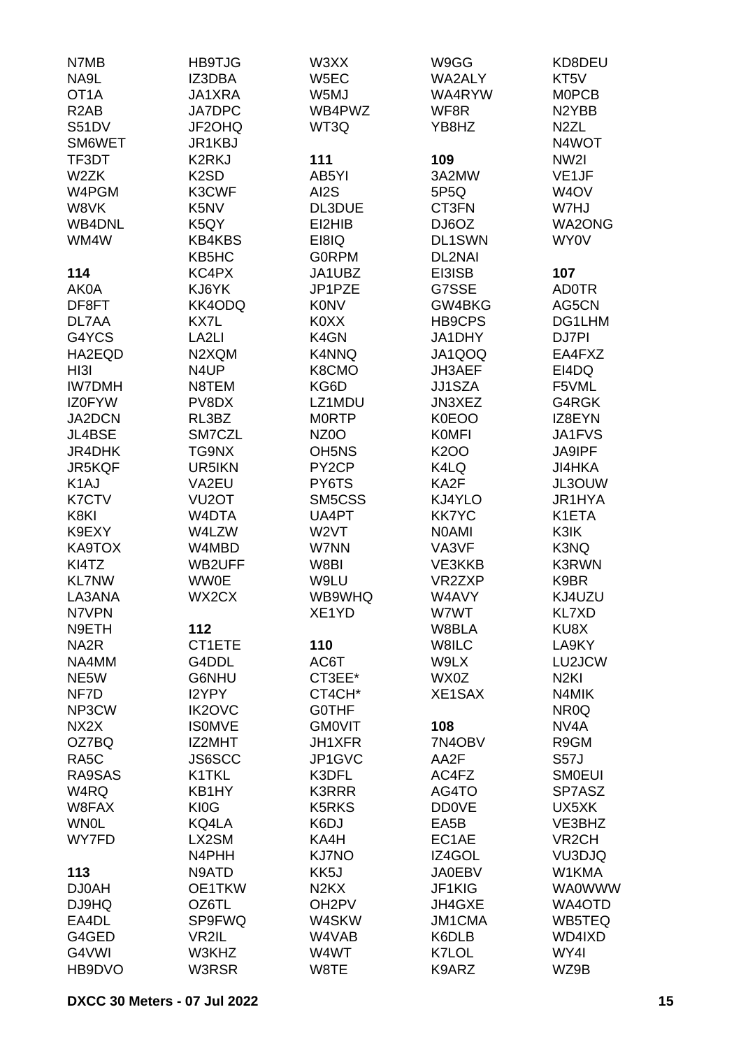| N7MB              | <b>HB9TJG</b>      | W3XX                           | W9GG          | KD8DEU             |
|-------------------|--------------------|--------------------------------|---------------|--------------------|
| NA9L              | IZ3DBA             | W5EC                           | WA2ALY        | KT5V               |
| OT <sub>1</sub> A | JA1XRA             | W5MJ                           | WA4RYW        | <b>MOPCB</b>       |
| R <sub>2</sub> AB | <b>JA7DPC</b>      | WB4PWZ                         | WF8R          | N2YBB              |
|                   | JF2OHQ             |                                | YB8HZ         | N <sub>2</sub> ZL  |
| S51DV             |                    | WT3Q                           |               |                    |
| SM6WET            | JR1KBJ             |                                |               | N4WOT              |
| TF3DT             | <b>K2RKJ</b>       | 111                            | 109           | NW2I               |
| W2ZK              | K <sub>2</sub> SD  | AB5YI                          | 3A2MW         | VE1JF              |
| W4PGM             | K3CWF              | AI2S                           | 5P5Q          | W <sub>4</sub> OV  |
| W8VK              | K5NV               | DL3DUE                         | CT3FN         | W7HJ               |
| <b>WB4DNL</b>     | K5QY               | EI2HIB                         | DJ6OZ         | WA2ONG             |
| WM4W              | <b>KB4KBS</b>      | EI8IQ                          | DL1SWN        | <b>WY0V</b>        |
|                   | KB5HC              | <b>GORPM</b>                   | DL2NAI        |                    |
| 114               | KC4PX              | JA1UBZ                         | EI3ISB        | 107                |
| AK0A              | KJ6YK              | JP1PZE                         | G7SSE         | <b>ADOTR</b>       |
| DF8FT             | KK4ODQ             | <b>K0NV</b>                    | GW4BKG        | AG5CN              |
| DL7AA             |                    | K0XX                           |               | DG1LHM             |
|                   | KX7L               |                                | HB9CPS        |                    |
| G4YCS             | LA <sub>2LI</sub>  | K4GN                           | JA1DHY        | DJ7PI              |
| HA2EQD            | N2XQM              | K4NNQ                          | JA1QOQ        | EA4FXZ             |
| HI3I              | N <sub>4</sub> UP  | K8CMO                          | JH3AEF        | EI4DQ              |
| <b>IW7DMH</b>     | N8TEM              | KG6D                           | JJ1SZA        | F5VML              |
| <b>IZ0FYW</b>     | PV8DX              | LZ1MDU                         | JN3XEZ        | G4RGK              |
| JA2DCN            | RL3BZ              | <b>MORTP</b>                   | K0EOO         | IZ8EYN             |
| JL4BSE            | SM7CZL             | NZ <sub>0</sub> O              | <b>KOMFI</b>  | JA1FVS             |
| JR4DHK            | TG9NX              | OH <sub>5</sub> N <sub>S</sub> | <b>K2OO</b>   | JA9IPF             |
| JR5KQF            | UR5IKN             | PY <sub>2</sub> CP             | K4LQ          | <b>JI4HKA</b>      |
| K <sub>1</sub> AJ | VA2EU              | PY6TS                          | KA2F          | JL3OUW             |
| <b>K7CTV</b>      | VU <sub>2</sub> OT | SM5CSS                         | KJ4YLO        | JR1HYA             |
| K8KI              | W4DTA              | UA4PT                          | <b>KK7YC</b>  | K1ETA              |
|                   |                    |                                |               |                    |
| K9EXY             | W4LZW              | W <sub>2</sub> VT              | <b>NOAMI</b>  | K3IK               |
| KA9TOX            | W4MBD              | W7NN                           | VA3VF         | K3NQ               |
| KI4TZ             | <b>WB2UFF</b>      | W8BI                           | VE3KKB        | <b>K3RWN</b>       |
| <b>KL7NW</b>      | <b>WW0E</b>        | W9LU                           | VR2ZXP        | K9BR               |
| LA3ANA            | WX2CX              | WB9WHQ                         | W4AVY         | KJ4UZU             |
| N7VPN             |                    | XE1YD                          | W7WT          | <b>KL7XD</b>       |
| N9ETH             | 112                |                                | W8BLA         | KU8X               |
| NA <sub>2</sub> R | CT1ETE             | 110                            | W8ILC         | LA9KY              |
| NA4MM             | G4DDL              | AC6T                           | W9LX          | LU2JCW             |
| NE5W              | G6NHU              | CT3EE*                         | WX0Z          | N <sub>2KI</sub>   |
| NF7D              | <b>I2YPY</b>       | CT4CH*                         | XE1SAX        | N4MIK              |
| NP3CW             | <b>IK2OVC</b>      | <b>GOTHF</b>                   |               | NR <sub>0</sub> Q  |
| NX2X              | <b>ISOMVE</b>      | <b>GMOVIT</b>                  | 108           | NV <sub>4</sub> A  |
| OZ7BQ             | IZ2MHT             | JH1XFR                         | 7N4OBV        | R9GM               |
|                   |                    |                                |               |                    |
| RA <sub>5</sub> C | <b>JS6SCC</b>      | JP1GVC                         | AA2F          | <b>S57J</b>        |
| RA9SAS            | K1TKL              | K3DFL                          | AC4FZ         | <b>SMOEUI</b>      |
| W4RQ              | KB1HY              | <b>K3RRR</b>                   | AG4TO         | SP7ASZ             |
| W8FAX             | KI0G               | K5RKS                          | <b>DD0VE</b>  | UX5XK              |
| <b>WN0L</b>       | KQ4LA              | K6DJ                           | EA5B          | VE3BHZ             |
| WY7FD             | LX2SM              | KA4H                           | EC1AE         | VR <sub>2</sub> CH |
|                   | N4PHH              | <b>KJ7NO</b>                   | IZ4GOL        | VU3DJQ             |
| 113               | N9ATD              | KK5J                           | <b>JA0EBV</b> | W1KMA              |
| <b>DJ0AH</b>      | OE1TKW             | N <sub>2</sub> K <sub>X</sub>  | JF1KIG        | <b>WA0WWW</b>      |
| DJ9HQ             | OZ6TL              | OH <sub>2</sub> PV             | JH4GXE        | WA4OTD             |
| EA4DL             | SP9FWQ             | W4SKW                          | <b>JM1CMA</b> | WB5TEQ             |
| G4GED             | VR2IL              | W4VAB                          | K6DLB         | WD4IXD             |
| G4VWI             | W3KHZ              | W4WT                           | K7LOL         | WY4I               |
| HB9DVO            | W3RSR              | W8TE                           | K9ARZ         | WZ9B               |
|                   |                    |                                |               |                    |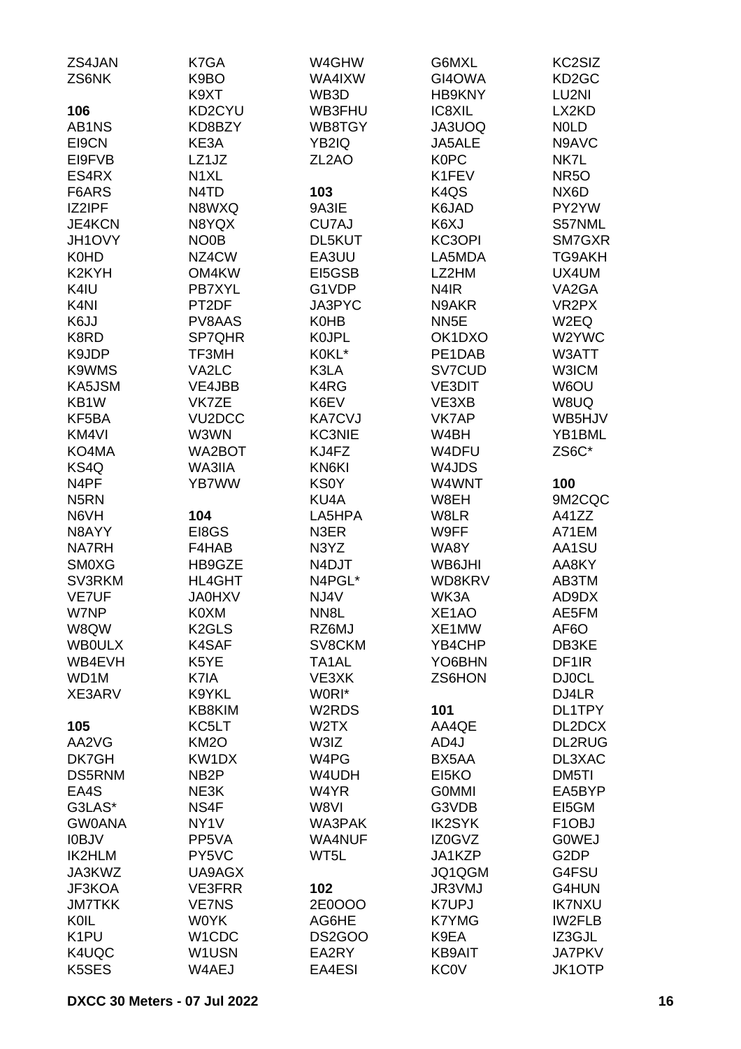| ZS4JAN             | K7GA                | W4GHW              | G6MXL                         | KC2SIZ             |
|--------------------|---------------------|--------------------|-------------------------------|--------------------|
| ZS6NK              | K9BO                | WA4IXW             | GI4OWA                        | KD <sub>2</sub> GC |
|                    | K9XT                | WB3D               | <b>HB9KNY</b>                 | LU2NI              |
| 106                | KD2CYU              | WB3FHU             | IC8XIL                        | LX2KD              |
| AB1NS              | KD8BZY              | WB8TGY             | JA3UOQ                        | <b>NOLD</b>        |
| EI9CN              | KE3A                | YB2IQ              | JA5ALE                        | N9AVC              |
| EI9FVB             | LZ1JZ               | ZL <sub>2</sub> AO | <b>K0PC</b>                   | NK7L               |
| ES4RX              | N <sub>1</sub> XL   |                    | K1FEV                         | <b>NR5O</b>        |
| F6ARS              | N4TD                | 103                | K <sub>4</sub> Q <sub>S</sub> | NX6D               |
| IZ2IPF             | N8WXQ               | 9A3IE              | K6JAD                         | PY2YW              |
| <b>JE4KCN</b>      |                     |                    | K6XJ                          | S57NML             |
|                    | N8YQX               | CU7AJ              | KC3OPI                        | SM7GXR             |
| JH1OVY             | NO <sub>0</sub> B   | DL5KUT             |                               |                    |
| K0HD               | NZ4CW               | EA3UU              | LA5MDA                        | TG9AKH             |
| K <sub>2</sub> KYH | OM4KW               | EI5GSB             | LZ2HM                         | UX4UM              |
| K4IU               | <b>PB7XYL</b>       | G1VDP              | N <sub>4</sub> IR             | VA2GA              |
| K <sub>4</sub> NI  | PT2DF               | JA3PYC             | N9AKR                         | VR <sub>2</sub> PX |
| K6JJ               | PV8AAS              | <b>K0HB</b>        | NN <sub>5E</sub>              | W <sub>2</sub> EQ  |
| K8RD               | SP7QHR              | <b>KOJPL</b>       | OK1DXO                        | W2YWC              |
| K9JDP              | TF3MH               | K0KL*              | PE1DAB                        | W3ATT              |
| K9WMS              | VA2LC               | K3LA               | SV7CUD                        | W3ICM              |
| KA5JSM             | VE4JBB              | K4RG               | <b>VE3DIT</b>                 | W6OU               |
| KB1W               | VK7ZE               | K6EV               | VE3XB                         | W8UQ               |
| KF5BA              | VU <sub>2</sub> DCC | <b>KA7CVJ</b>      | VK7AP                         | WB5HJV             |
| KM4VI              | W3WN                | <b>KC3NIE</b>      | W4BH                          | YB1BML             |
| KO4MA              | WA2BOT              | KJ4FZ              | W4DFU                         | ZS6C*              |
| KS4Q               | WA3IIA              | KN6KI              | W4JDS                         |                    |
| N <sub>4</sub> PF  | YB7WW               | <b>KS0Y</b>        | W4WNT                         | 100                |
| N <sub>5</sub> RN  |                     | KU4A               | W8EH                          | 9M2CQC             |
| N6VH               | 104                 | LA5HPA             | W8LR                          | A41ZZ              |
| N8AYY              | EI8GS               | N3ER               | W9FF                          | A71EM              |
| <b>NA7RH</b>       | F4HAB               | N3YZ               | WA8Y                          | AA1SU              |
| <b>SM0XG</b>       | HB9GZE              | N4DJT              | WB6JHI                        | AA8KY              |
| SV3RKM             | HL4GHT              | N4PGL*             | WD8KRV                        | AB3TM              |
| <b>VE7UF</b>       | <b>JA0HXV</b>       | NJ4V               | WK3A                          | AD9DX              |
| W7NP               | K0XM                | NN8L               | XE1AO                         | AE5FM              |
| W8QW               | K <sub>2</sub> GLS  | RZ6MJ              | XE1MW                         | AF <sub>6</sub> O  |
| <b>WBOULX</b>      | K4SAF               | SV8CKM             | YB4CHP                        | DB3KE              |
| WB4EVH             | K5YE                | TA1AL              | YO6BHN                        | DF <sub>1</sub> R  |
|                    |                     |                    | ZS6HON                        |                    |
| WD1M               | K7IA                | VE3XK              |                               | <b>DJ0CL</b>       |
| XE3ARV             | K9YKL               | W0RI*              |                               | DJ4LR              |
|                    | KB8KIM              | W2RDS              | 101                           | DL1TPY             |
| 105                | KC5LT               | W <sub>2</sub> TX  | AA4QE                         | DL2DCX             |
| AA2VG              | KM <sub>2</sub> O   | W3IZ               | AD4J                          | <b>DL2RUG</b>      |
| DK7GH              | KW1DX               | W4PG               | BX5AA                         | DL3XAC             |
| <b>DS5RNM</b>      | NB <sub>2</sub> P   | W4UDH              | EI5KO                         | DM5TI              |
| EA4S               | NE3K                | W4YR               | <b>GOMMI</b>                  | EA5BYP             |
| G3LAS*             | NS4F                | W8VI               | G3VDB                         | EI5GM              |
| <b>GW0ANA</b>      | NY <sub>1</sub> V   | WA3PAK             | <b>IK2SYK</b>                 | F <sub>1</sub> OBJ |
| <b>IOBJV</b>       | PP5VA               | WA4NUF             | IZ0GVZ                        | <b>GOWEJ</b>       |
| <b>IK2HLM</b>      | PY5VC               | WT5L               | JA1KZP                        | G <sub>2</sub> DP  |
| JA3KWZ             | UA9AGX              |                    | JQ1QGM                        | G4FSU              |
| JF3KOA             | VE3FRR              | 102                | JR3VMJ                        | G4HUN              |
| <b>JM7TKK</b>      | <b>VE7NS</b>        | 2E0OOO             | <b>K7UPJ</b>                  | <b>IK7NXU</b>      |
| <b>KOIL</b>        | <b>WOYK</b>         | AG6HE              | <b>K7YMG</b>                  | <b>IW2FLB</b>      |
| K <sub>1</sub> PU  | W1CDC               | <b>DS2GOO</b>      | K9EA                          | IZ3GJL             |
| K4UQC              | W1USN               | EA2RY              | <b>KB9AIT</b>                 | <b>JA7PKV</b>      |
| K5SES              | W4AEJ               | EA4ESI             | <b>KC0V</b>                   | <b>JK1OTP</b>      |
|                    |                     |                    |                               |                    |